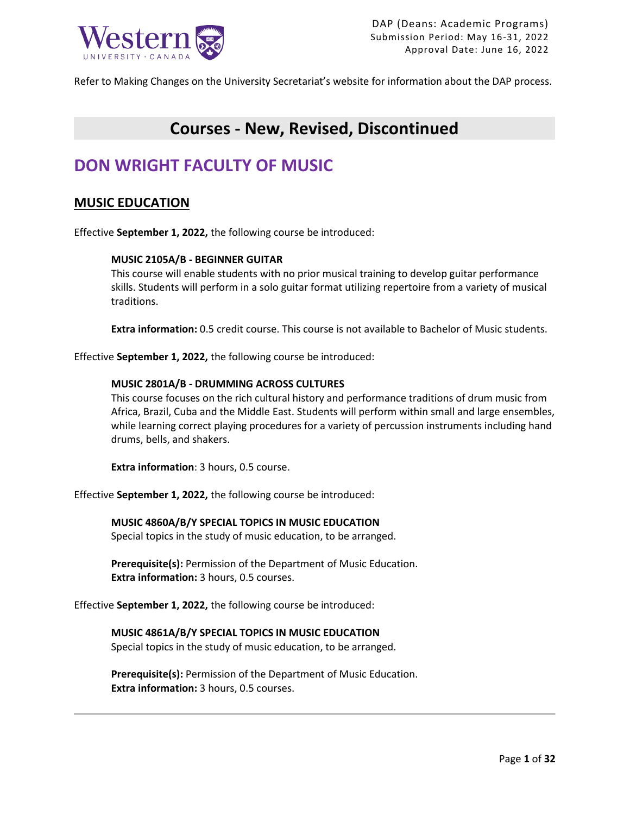

Refer to Making Changes on the University Secretariat's website for information about the DAP process.

## **Courses - New, Revised, Discontinued**

## **DON WRIGHT FACULTY OF MUSIC**

## **MUSIC EDUCATION**

Effective **September 1, 2022,** the following course be introduced:

### **MUSIC 2105A/B - BEGINNER GUITAR**

This course will enable students with no prior musical training to develop guitar performance skills. Students will perform in a solo guitar format utilizing repertoire from a variety of musical traditions.

**Extra information:** 0.5 credit course. This course is not available to Bachelor of Music students.

Effective **September 1, 2022,** the following course be introduced:

### **MUSIC 2801A/B - DRUMMING ACROSS CULTURES**

This course focuses on the rich cultural history and performance traditions of drum music from Africa, Brazil, Cuba and the Middle East. Students will perform within small and large ensembles, while learning correct playing procedures for a variety of percussion instruments including hand drums, bells, and shakers.

**Extra information**: 3 hours, 0.5 course.

Effective **September 1, 2022,** the following course be introduced:

**MUSIC 4860A/B/Y SPECIAL TOPICS IN MUSIC EDUCATION** Special topics in the study of music education, to be arranged.

**Prerequisite(s):** Permission of the Department of Music Education. **Extra information:** 3 hours, 0.5 courses.

Effective **September 1, 2022,** the following course be introduced:

## **MUSIC 4861A/B/Y SPECIAL TOPICS IN MUSIC EDUCATION**

Special topics in the study of music education, to be arranged.

**Prerequisite(s):** Permission of the Department of Music Education. **Extra information:** 3 hours, 0.5 courses.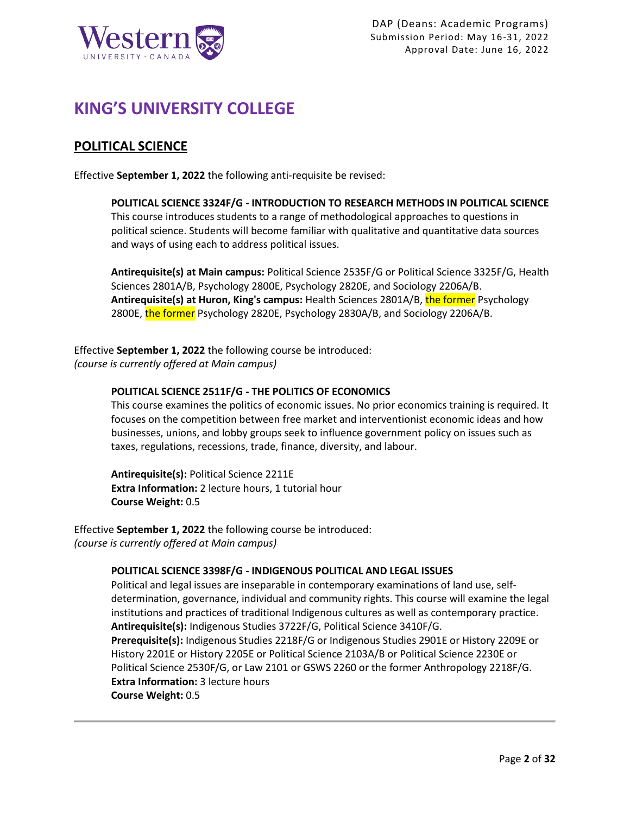

## **KING'S UNIVERSITY COLLEGE**

## **POLITICAL SCIENCE**

Effective **September 1, 2022** the following anti-requisite be revised:

**POLITICAL SCIENCE 3324F/G - INTRODUCTION TO RESEARCH METHODS IN POLITICAL SCIENCE** This course introduces students to a range of methodological approaches to questions in political science. Students will become familiar with qualitative and quantitative data sources and ways of using each to address political issues.

**Antirequisite(s) at Main campus:** Political Science 2535F/G or Political Science 3325F/G, Health Sciences 2801A/B, Psychology 2800E, Psychology 2820E, and Sociology 2206A/B. **Antirequisite(s) at Huron, King's campus:** Health Sciences 2801A/B, the former Psychology 2800E, the former Psychology 2820E, Psychology 2830A/B, and Sociology 2206A/B.

Effective **September 1, 2022** the following course be introduced: *(course is currently offered at Main campus)*

### **POLITICAL SCIENCE 2511F/G - THE POLITICS OF ECONOMICS**

This course examines the politics of economic issues. No prior economics training is required. It focuses on the competition between free market and interventionist economic ideas and how businesses, unions, and lobby groups seek to influence government policy on issues such as taxes, regulations, recessions, trade, finance, diversity, and labour.

**Antirequisite(s):** Political Science 2211E **Extra Information:** 2 lecture hours, 1 tutorial hour **Course Weight:** 0.5

Effective **September 1, 2022** the following course be introduced: *(course is currently offered at Main campus)*

### **POLITICAL SCIENCE 3398F/G - INDIGENOUS POLITICAL AND LEGAL ISSUES**

Political and legal issues are inseparable in contemporary examinations of land use, selfdetermination, governance, individual and community rights. This course will examine the legal institutions and practices of traditional Indigenous cultures as well as contemporary practice. **Antirequisite(s):** Indigenous Studies 3722F/G, Political Science 3410F/G. **Prerequisite(s):** Indigenous Studies 2218F/G or Indigenous Studies 2901E or History 2209E or History 2201E or History 2205E or Political Science 2103A/B or Political Science 2230E or Political Science 2530F/G, or Law 2101 or GSWS 2260 or the former Anthropology 2218F/G. **Extra Information:** 3 lecture hours **Course Weight:** 0.5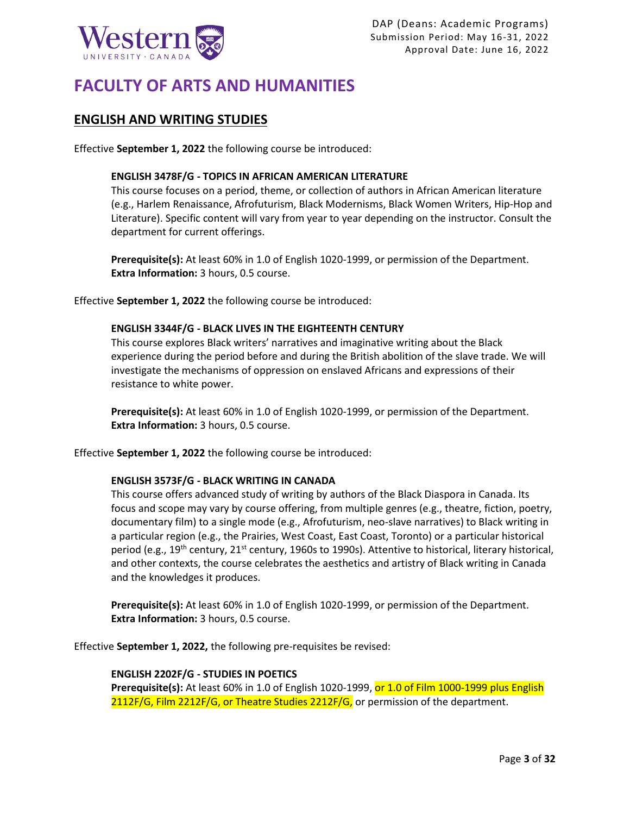

# **FACULTY OF ARTS AND HUMANITIES**

## **ENGLISH AND WRITING STUDIES**

Effective **September 1, 2022** the following course be introduced:

### **ENGLISH 3478F/G - TOPICS IN AFRICAN AMERICAN LITERATURE**

This course focuses on a period, theme, or collection of authors in African American literature (e.g., Harlem Renaissance, Afrofuturism, Black Modernisms, Black Women Writers, Hip-Hop and Literature). Specific content will vary from year to year depending on the instructor. Consult the department for current offerings.

**Prerequisite(s):** At least 60% in 1.0 of English 1020-1999, or permission of the Department. **Extra Information:** 3 hours, 0.5 course.

Effective **September 1, 2022** the following course be introduced:

### **ENGLISH 3344F/G - BLACK LIVES IN THE EIGHTEENTH CENTURY**

This course explores Black writers' narratives and imaginative writing about the Black experience during the period before and during the British abolition of the slave trade. We will investigate the mechanisms of oppression on enslaved Africans and expressions of their resistance to white power.

**Prerequisite(s):** At least 60% in 1.0 of English 1020-1999, or permission of the Department. **Extra Information:** 3 hours, 0.5 course.

Effective **September 1, 2022** the following course be introduced:

### **ENGLISH 3573F/G - BLACK WRITING IN CANADA**

This course offers advanced study of writing by authors of the Black Diaspora in Canada. Its focus and scope may vary by course offering, from multiple genres (e.g., theatre, fiction, poetry, documentary film) to a single mode (e.g., Afrofuturism, neo-slave narratives) to Black writing in a particular region (e.g., the Prairies, West Coast, East Coast, Toronto) or a particular historical period (e.g., 19<sup>th</sup> century, 21<sup>st</sup> century, 1960s to 1990s). Attentive to historical, literary historical, and other contexts, the course celebrates the aesthetics and artistry of Black writing in Canada and the knowledges it produces.

**Prerequisite(s):** At least 60% in 1.0 of English 1020-1999, or permission of the Department. **Extra Information:** 3 hours, 0.5 course.

Effective **September 1, 2022,** the following pre-requisites be revised:

### **ENGLISH 2202F/G - STUDIES IN POETICS**

**Prerequisite(s):** At least 60% in 1.0 of English 1020-1999, or 1.0 of Film 1000-1999 plus English 2112F/G, Film 2212F/G, or Theatre Studies 2212F/G, or permission of the department.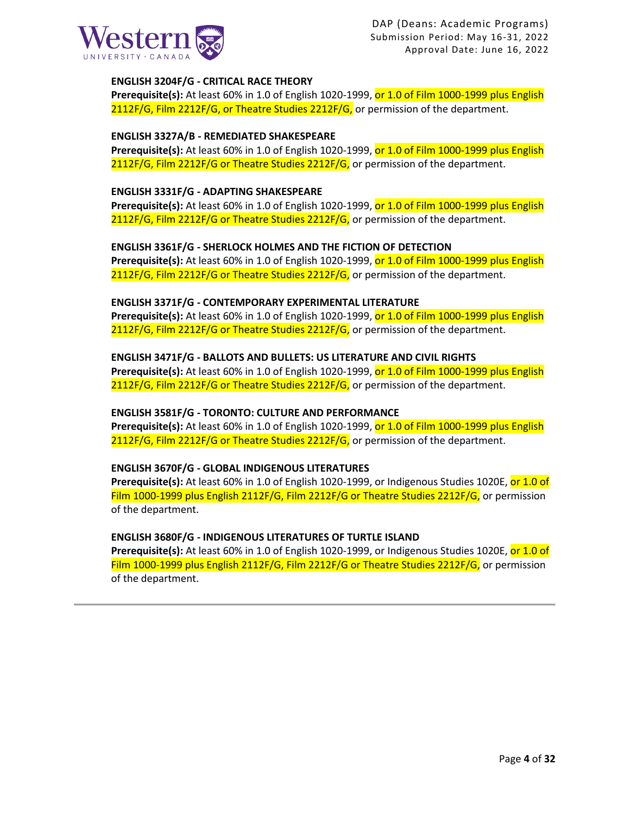

### **ENGLISH 3204F/G - CRITICAL RACE THEORY**

**Prerequisite(s):** At least 60% in 1.0 of English 1020-1999, or 1.0 of Film 1000-1999 plus English 2112F/G, Film 2212F/G, or Theatre Studies 2212F/G, or permission of the department.

### **ENGLISH 3327A/B - REMEDIATED SHAKESPEARE**

Prerequisite(s): At least 60% in 1.0 of English 1020-1999, or 1.0 of Film 1000-1999 plus English 2112F/G, Film 2212F/G or Theatre Studies 2212F/G, or permission of the department.

### **ENGLISH 3331F/G - ADAPTING SHAKESPEARE**

Prerequisite(s): At least 60% in 1.0 of English 1020-1999, or 1.0 of Film 1000-1999 plus English 2112F/G, Film 2212F/G or Theatre Studies 2212F/G, or permission of the department.

### **ENGLISH 3361F/G - SHERLOCK HOLMES AND THE FICTION OF DETECTION**

**Prerequisite(s):** At least 60% in 1.0 of English 1020-1999, or 1.0 of Film 1000-1999 plus English 2112F/G, Film 2212F/G or Theatre Studies 2212F/G, or permission of the department.

### **ENGLISH 3371F/G - CONTEMPORARY EXPERIMENTAL LITERATURE**

**Prerequisite(s):** At least 60% in 1.0 of English 1020-1999, or 1.0 of Film 1000-1999 plus English 2112F/G, Film 2212F/G or Theatre Studies 2212F/G, or permission of the department.

### **ENGLISH 3471F/G - BALLOTS AND BULLETS: US LITERATURE AND CIVIL RIGHTS**

**Prerequisite(s):** At least 60% in 1.0 of English 1020-1999, or 1.0 of Film 1000-1999 plus English 2112F/G, Film 2212F/G or Theatre Studies 2212F/G, or permission of the department.

### **ENGLISH 3581F/G - TORONTO: CULTURE AND PERFORMANCE**

**Prerequisite(s):** At least 60% in 1.0 of English 1020-1999, or 1.0 of Film 1000-1999 plus English 2112F/G, Film 2212F/G or Theatre Studies 2212F/G, or permission of the department.

### **ENGLISH 3670F/G - GLOBAL INDIGENOUS LITERATURES**

**Prerequisite(s):** At least 60% in 1.0 of English 1020-1999, or Indigenous Studies 1020E, or 1.0 of Film 1000-1999 plus English 2112F/G, Film 2212F/G or Theatre Studies 2212F/G, or permission of the department.

### **ENGLISH 3680F/G - INDIGENOUS LITERATURES OF TURTLE ISLAND**

**Prerequisite(s):** At least 60% in 1.0 of English 1020-1999, or Indigenous Studies 1020E, or 1.0 of Film 1000-1999 plus English 2112F/G, Film 2212F/G or Theatre Studies 2212F/G, or permission of the department.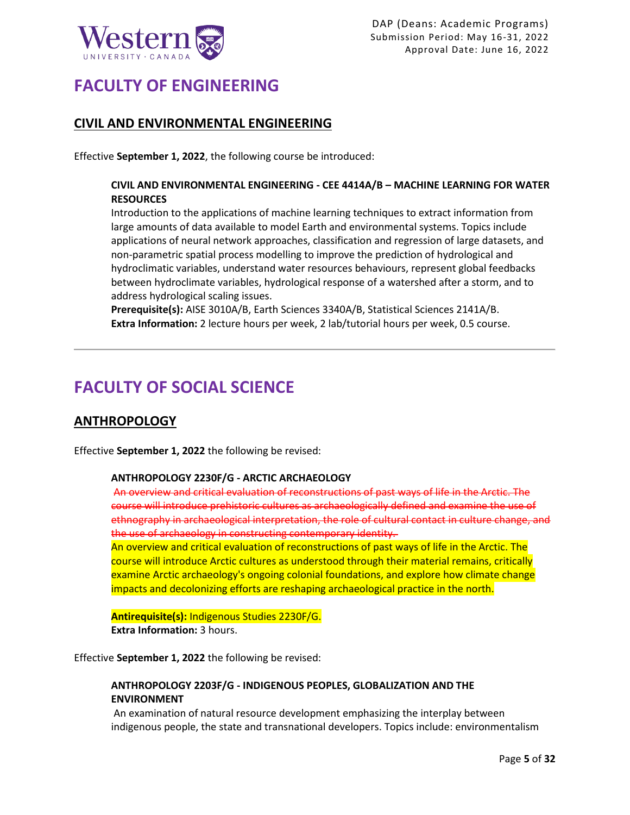

## **FACULTY OF ENGINEERING**

## **CIVIL AND ENVIRONMENTAL ENGINEERING**

Effective **September 1, 2022**, the following course be introduced:

### **CIVIL AND ENVIRONMENTAL ENGINEERING - CEE 4414A/B – MACHINE LEARNING FOR WATER RESOURCES**

Introduction to the applications of machine learning techniques to extract information from large amounts of data available to model Earth and environmental systems. Topics include applications of neural network approaches, classification and regression of large datasets, and non-parametric spatial process modelling to improve the prediction of hydrological and hydroclimatic variables, understand water resources behaviours, represent global feedbacks between hydroclimate variables, hydrological response of a watershed after a storm, and to address hydrological scaling issues.

**Prerequisite(s):** AISE 3010A/B, Earth Sciences 3340A/B, Statistical Sciences 2141A/B. **Extra Information:** 2 lecture hours per week, 2 lab/tutorial hours per week, 0.5 course.

# **FACULTY OF SOCIAL SCIENCE**

## **ANTHROPOLOGY**

Effective **September 1, 2022** the following be revised:

### **ANTHROPOLOGY 2230F/G - ARCTIC ARCHAEOLOGY**

An overview and critical evaluation of reconstructions of past ways of life in the Arctic. The course will introduce prehistoric cultures as archaeologically defined and examine the use of ethnography in archaeological interpretation, the role of cultural contact in culture change, and the use of archaeology in constructing contemporary identity.

An overview and critical evaluation of reconstructions of past ways of life in the Arctic. The course will introduce Arctic cultures as understood through their material remains, critically examine Arctic archaeology's ongoing colonial foundations, and explore how climate change impacts and decolonizing efforts are reshaping archaeological practice in the north.

### **Antirequisite(s):** Indigenous Studies 2230F/G.

**Extra Information:** 3 hours.

Effective **September 1, 2022** the following be revised:

### **ANTHROPOLOGY 2203F/G - INDIGENOUS PEOPLES, GLOBALIZATION AND THE ENVIRONMENT**

An examination of natural resource development emphasizing the interplay between indigenous people, the state and transnational developers. Topics include: environmentalism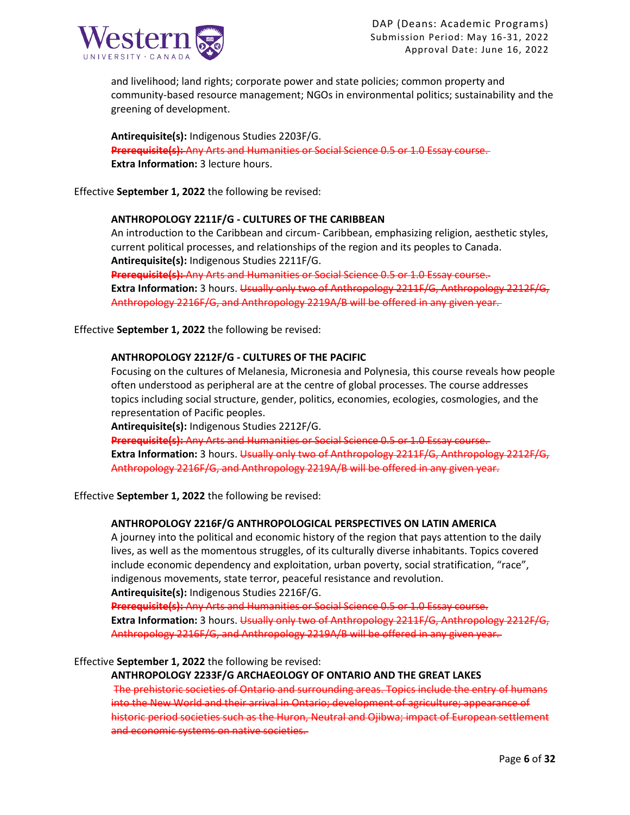

and livelihood; land rights; corporate power and state policies; common property and community-based resource management; NGOs in environmental politics; sustainability and the greening of development.

**Antirequisite(s):** Indigenous Studies 2203F/G. **Prerequisite(s):** Any Arts and Humanities or Social Science 0.5 or 1.0 Essay course. **Extra Information:** 3 lecture hours.

Effective **September 1, 2022** the following be revised:

### **ANTHROPOLOGY 2211F/G - CULTURES OF THE CARIBBEAN**

An introduction to the Caribbean and circum- Caribbean, emphasizing religion, aesthetic styles, current political processes, and relationships of the region and its peoples to Canada. **Antirequisite(s):** Indigenous Studies 2211F/G. **Prerequisite(s):** Any Arts and Humanities or Social Science 0.5 or 1.0 Essay course. Extra Information: 3 hours. Usually only two of Anthropology 2211F/G, Anthropology 2212F/G,

Anthropology 2216F/G, and Anthropology 2219A/B will be offered in any given year.

Effective **September 1, 2022** the following be revised:

### **ANTHROPOLOGY 2212F/G - CULTURES OF THE PACIFIC**

Focusing on the cultures of Melanesia, Micronesia and Polynesia, this course reveals how people often understood as peripheral are at the centre of global processes. The course addresses topics including social structure, gender, politics, economies, ecologies, cosmologies, and the representation of Pacific peoples.

**Antirequisite(s):** Indigenous Studies 2212F/G.

**Prerequisite(s):** Any Arts and Humanities or Social Science 0.5 or 1.0 Essay course. **Extra Information:** 3 hours. Usually only two of Anthropology 2211F/G, Anthropology 2212F/G, Anthropology 2216F/G, and Anthropology 2219A/B will be offered in any given year.

Effective **September 1, 2022** the following be revised:

### **ANTHROPOLOGY 2216F/G ANTHROPOLOGICAL PERSPECTIVES ON LATIN AMERICA**

A journey into the political and economic history of the region that pays attention to the daily lives, as well as the momentous struggles, of its culturally diverse inhabitants. Topics covered include economic dependency and exploitation, urban poverty, social stratification, "race", indigenous movements, state terror, peaceful resistance and revolution.

**Antirequisite(s):** Indigenous Studies 2216F/G.

**Prerequisite(s):** Any Arts and Humanities or Social Science 0.5 or 1.0 Essay course. **Extra Information:** 3 hours. Usually only two of Anthropology 2211F/G, Anthropology 2212F/G,

Anthropology 2216F/G, and Anthropology 2219A/B will be offered in any given year.

Effective **September 1, 2022** the following be revised:

### **ANTHROPOLOGY 2233F/G ARCHAEOLOGY OF ONTARIO AND THE GREAT LAKES**

The prehistoric societies of Ontario and surrounding areas. Topics include the entry of humans into the New World and their arrival in Ontario; development of agriculture; appearance of historic period societies such as the Huron, Neutral and Ojibwa; impact of European settlement and economic systems on native societies.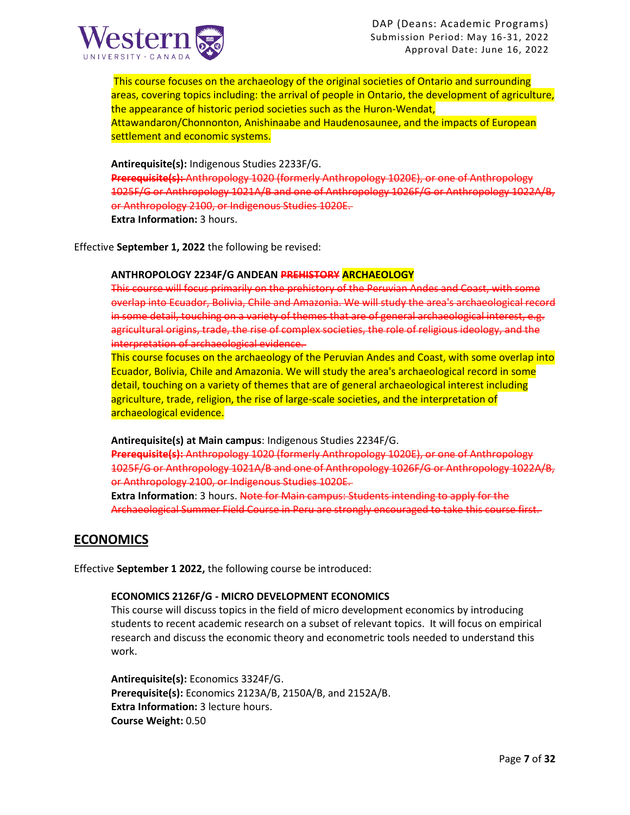

This course focuses on the archaeology of the original societies of Ontario and surrounding areas, covering topics including: the arrival of people in Ontario, the development of agriculture, the appearance of historic period societies such as the Huron-Wendat, Attawandaron/Chonnonton, Anishinaabe and Haudenosaunee, and the impacts of European settlement and economic systems.

**Antirequisite(s):** Indigenous Studies 2233F/G. **Prerequisite(s):** Anthropology 1020 (formerly Anthropology 1020E), or one of Anthropology 1025F/G or Anthropology 1021A/B and one of Anthropology 1026F/G or Anthropology 1022A/B, or Anthropology 2100, or Indigenous Studies 1020E.

**Extra Information:** 3 hours.

Effective **September 1, 2022** the following be revised:

### **ANTHROPOLOGY 2234F/G ANDEAN PREHISTORY ARCHAEOLOGY**

This course will focus primarily on the prehistory of the Peruvian Andes and Coast, with some overlap into Ecuador, Bolivia, Chile and Amazonia. We will study the area's archaeological record in some detail, touching on a variety of themes that are of general archaeological interest, e.g. agricultural origins, trade, the rise of complex societies, the role of religious ideology, and the interpretation of archaeological evidence.

This course focuses on the archaeology of the Peruvian Andes and Coast, with some overlap into Ecuador, Bolivia, Chile and Amazonia. We will study the area's archaeological record in some detail, touching on a variety of themes that are of general archaeological interest including agriculture, trade, religion, the rise of large-scale societies, and the interpretation of archaeological evidence.

**Antirequisite(s) at Main campus**: Indigenous Studies 2234F/G.

**Prerequisite(s):** Anthropology 1020 (formerly Anthropology 1020E), or one of Anthropology 1025F/G or Anthropology 1021A/B and one of Anthropology 1026F/G or Anthropology 1022A/B, or Anthropology 2100, or Indigenous Studies 1020E.

**Extra Information**: 3 hours. Note for Main campus: Students intending to apply for the Archaeological Summer Field Course in Peru are strongly encouraged to take this course first.

## **ECONOMICS**

Effective **September 1 2022,** the following course be introduced:

### **ECONOMICS 2126F/G - MICRO DEVELOPMENT ECONOMICS**

This course will discuss topics in the field of micro development economics by introducing students to recent academic research on a subset of relevant topics. It will focus on empirical research and discuss the economic theory and econometric tools needed to understand this work.

**Antirequisite(s):** Economics 3324F/G. **Prerequisite(s):** Economics 2123A/B, 2150A/B, and 2152A/B. **Extra Information:** 3 lecture hours. **Course Weight:** 0.50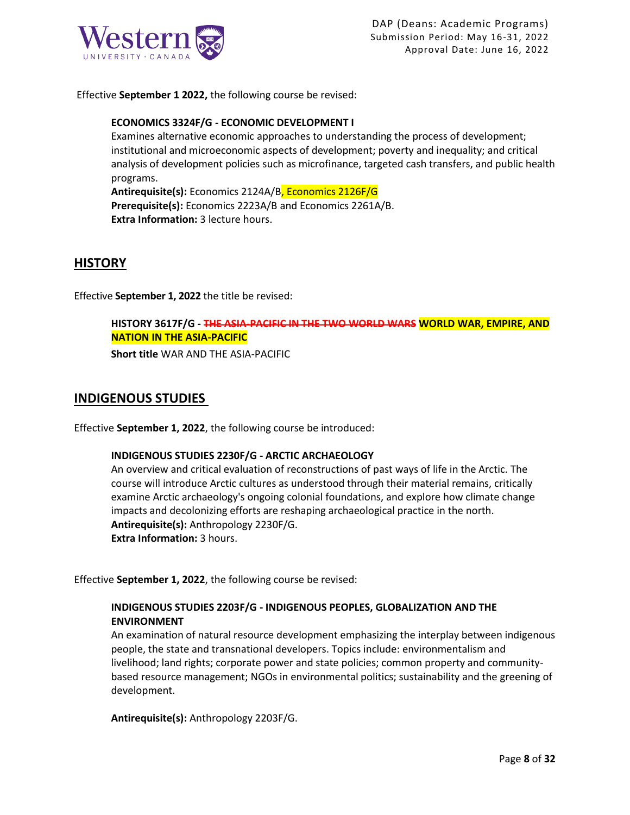

Effective **September 1 2022,** the following course be revised:

### **ECONOMICS 3324F/G - ECONOMIC DEVELOPMENT I**

Examines alternative economic approaches to understanding the process of development; institutional and microeconomic aspects of development; poverty and inequality; and critical analysis of development policies such as microfinance, targeted cash transfers, and public health programs.

**Antirequisite(s):** Economics 2124A/B, Economics 2126F/G **Prerequisite(s):** Economics 2223A/B and Economics 2261A/B. **Extra Information:** 3 lecture hours.

## **HISTORY**

Effective **September 1, 2022** the title be revised:

### **HISTORY 3617F/G - THE ASIA-PACIFIC IN THE TWO WORLD WARS WORLD WAR, EMPIRE, AND NATION IN THE ASIA-PACIFIC**

**Short title** WAR AND THE ASIA-PACIFIC

## **INDIGENOUS STUDIES**

Effective **September 1, 2022**, the following course be introduced:

### **INDIGENOUS STUDIES 2230F/G - ARCTIC ARCHAEOLOGY**

An overview and critical evaluation of reconstructions of past ways of life in the Arctic. The course will introduce Arctic cultures as understood through their material remains, critically examine Arctic archaeology's ongoing colonial foundations, and explore how climate change impacts and decolonizing efforts are reshaping archaeological practice in the north. **Antirequisite(s):** Anthropology 2230F/G. **Extra Information:** 3 hours.

Effective **September 1, 2022**, the following course be revised:

### **INDIGENOUS STUDIES 2203F/G - INDIGENOUS PEOPLES, GLOBALIZATION AND THE ENVIRONMENT**

An examination of natural resource development emphasizing the interplay between indigenous people, the state and transnational developers. Topics include: environmentalism and livelihood; land rights; corporate power and state policies; common property and communitybased resource management; NGOs in environmental politics; sustainability and the greening of development.

**Antirequisite(s):** Anthropology 2203F/G.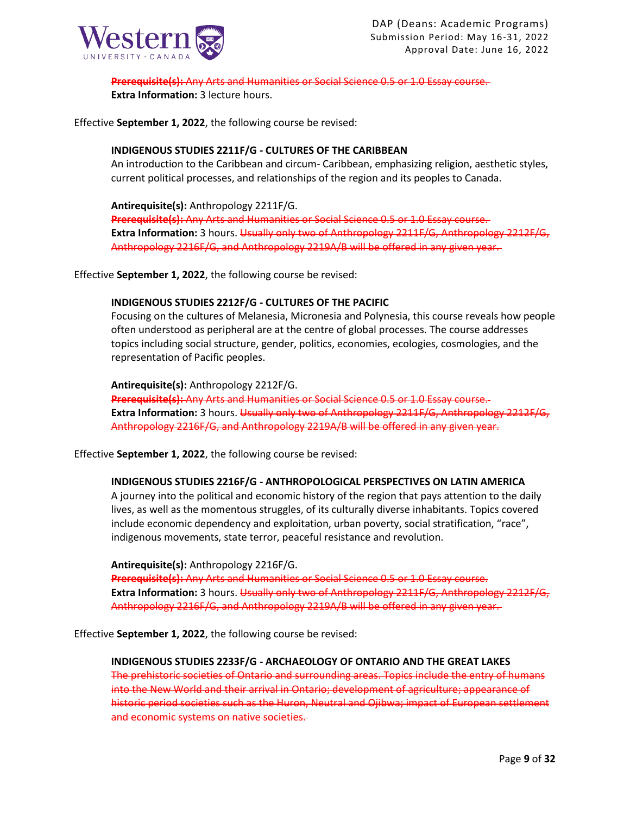

**Prerequisite(s):** Any Arts and Humanities or Social Science 0.5 or 1.0 Essay course.

**Extra Information:** 3 lecture hours.

Effective **September 1, 2022**, the following course be revised:

### **INDIGENOUS STUDIES 2211F/G - CULTURES OF THE CARIBBEAN**

An introduction to the Caribbean and circum- Caribbean, emphasizing religion, aesthetic styles, current political processes, and relationships of the region and its peoples to Canada.

**Antirequisite(s):** Anthropology 2211F/G.

**Prerequisite(s):** Any Arts and Humanities or Social Science 0.5 or 1.0 Essay course. **Extra Information:** 3 hours. Usually only two of Anthropology 2211F/G, Anthropology 2212F/G, Anthropology 2216F/G, and Anthropology 2219A/B will be offered in any given year.

Effective **September 1, 2022**, the following course be revised:

### **INDIGENOUS STUDIES 2212F/G - CULTURES OF THE PACIFIC**

Focusing on the cultures of Melanesia, Micronesia and Polynesia, this course reveals how people often understood as peripheral are at the centre of global processes. The course addresses topics including social structure, gender, politics, economies, ecologies, cosmologies, and the representation of Pacific peoples.

**Antirequisite(s):** Anthropology 2212F/G.

**Prerequisite(s):** Any Arts and Humanities or Social Science 0.5 or 1.0 Essay course. Extra Information: 3 hours. Usually only two of Anthropology 2211F/G, Anthropology 2212F/G, Anthropology 2216F/G, and Anthropology 2219A/B will be offered in any given year.

Effective **September 1, 2022**, the following course be revised:

### **INDIGENOUS STUDIES 2216F/G - ANTHROPOLOGICAL PERSPECTIVES ON LATIN AMERICA**

A journey into the political and economic history of the region that pays attention to the daily lives, as well as the momentous struggles, of its culturally diverse inhabitants. Topics covered include economic dependency and exploitation, urban poverty, social stratification, "race", indigenous movements, state terror, peaceful resistance and revolution.

**Antirequisite(s):** Anthropology 2216F/G. **Prerequisite(s):** Any Arts and Humanities or Social Science 0.5 or 1.0 Essay course. **Extra Information:** 3 hours. Usually only two of Anthropology 2211F/G, Anthropology 2212F/G, Anthropology 2216F/G, and Anthropology 2219A/B will be offered in any given year.

Effective **September 1, 2022**, the following course be revised:

**INDIGENOUS STUDIES 2233F/G - ARCHAEOLOGY OF ONTARIO AND THE GREAT LAKES**  The prehistoric societies of Ontario and surrounding areas. Topics include the entry of humans

into the New World and their arrival in Ontario; development of agriculture; appearance of historic period societies such as the Huron, Neutral and Ojibwa; impact of European settlement and economic systems on native societies.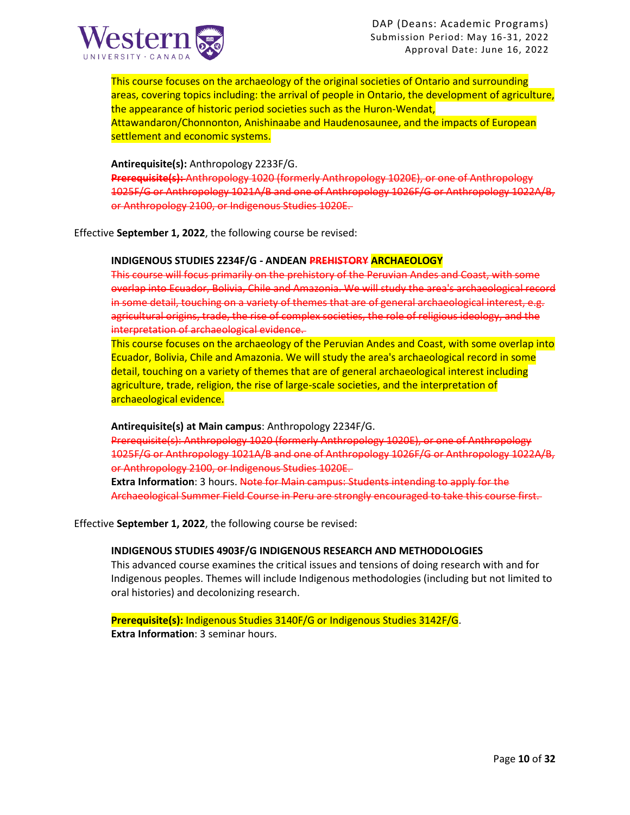

This course focuses on the archaeology of the original societies of Ontario and surrounding areas, covering topics including: the arrival of people in Ontario, the development of agriculture, the appearance of historic period societies such as the Huron-Wendat, Attawandaron/Chonnonton, Anishinaabe and Haudenosaunee, and the impacts of European settlement and economic systems.

#### **Antirequisite(s):** Anthropology 2233F/G.

**Prerequisite(s):** Anthropology 1020 (formerly Anthropology 1020E), or one of Anthropology 1025F/G or Anthropology 1021A/B and one of Anthropology 1026F/G or Anthropology 1022A/B, or Anthropology 2100, or Indigenous Studies 1020E.

Effective **September 1, 2022**, the following course be revised:

#### **INDIGENOUS STUDIES 2234F/G - ANDEAN PREHISTORY ARCHAEOLOGY**

This course will focus primarily on the prehistory of the Peruvian Andes and Coast, with some overlap into Ecuador, Bolivia, Chile and Amazonia. We will study the area's archaeological record in some detail, touching on a variety of themes that are of general archaeological interest, e.g. agricultural origins, trade, the rise of complex societies, the role of religious ideology, and the interpretation of archaeological evidence.

This course focuses on the archaeology of the Peruvian Andes and Coast, with some overlap into Ecuador, Bolivia, Chile and Amazonia. We will study the area's archaeological record in some detail, touching on a variety of themes that are of general archaeological interest including agriculture, trade, religion, the rise of large-scale societies, and the interpretation of archaeological evidence.

#### **Antirequisite(s) at Main campus**: Anthropology 2234F/G.

Prerequisite(s): Anthropology 1020 (formerly Anthropology 1020E), or one of Anthropology 1025F/G or Anthropology 1021A/B and one of Anthropology 1026F/G or Anthropology 1022A/B, or Anthropology 2100, or Indigenous Studies 1020E.

**Extra Information**: 3 hours. Note for Main campus: Students intending to apply for the Archaeological Summer Field Course in Peru are strongly encouraged to take this course first.

Effective **September 1, 2022**, the following course be revised:

### **INDIGENOUS STUDIES 4903F/G INDIGENOUS RESEARCH AND METHODOLOGIES**

This advanced course examines the critical issues and tensions of doing research with and for Indigenous peoples. Themes will include Indigenous methodologies (including but not limited to oral histories) and decolonizing research.

**Prerequisite(s):** Indigenous Studies 3140F/G or Indigenous Studies 3142F/G. **Extra Information**: 3 seminar hours.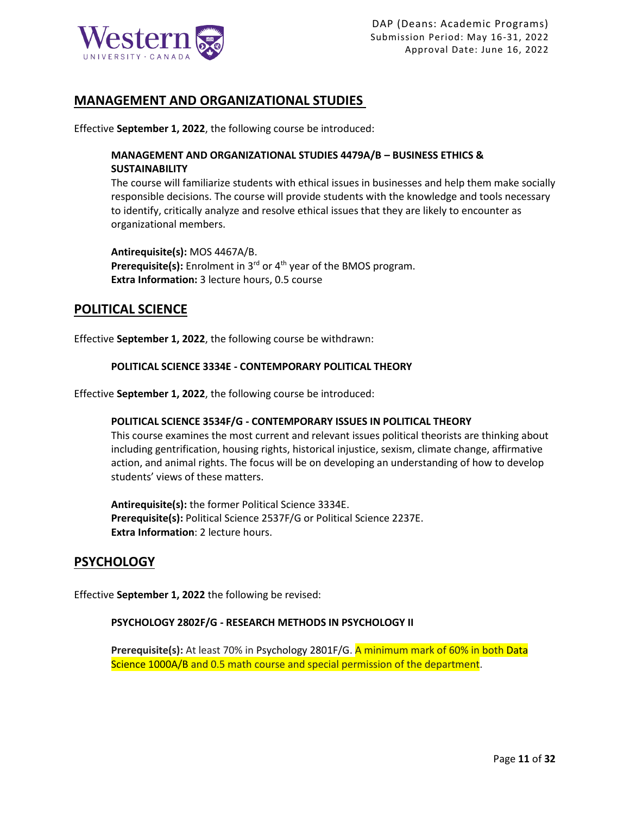

## **MANAGEMENT AND ORGANIZATIONAL STUDIES**

Effective **September 1, 2022**, the following course be introduced:

## **MANAGEMENT AND ORGANIZATIONAL STUDIES 4479A/B – BUSINESS ETHICS & SUSTAINABILITY**

The course will familiarize students with ethical issues in businesses and help them make socially responsible decisions. The course will provide students with the knowledge and tools necessary to identify, critically analyze and resolve ethical issues that they are likely to encounter as organizational members.

**Antirequisite(s):** MOS 4467A/B. Prerequisite(s): Enrolment in 3<sup>rd</sup> or 4<sup>th</sup> year of the BMOS program. **Extra Information:** 3 lecture hours, 0.5 course

## **POLITICAL SCIENCE**

Effective **September 1, 2022**, the following course be withdrawn:

### **POLITICAL SCIENCE 3334E - CONTEMPORARY POLITICAL THEORY**

Effective **September 1, 2022**, the following course be introduced:

### **POLITICAL SCIENCE 3534F/G - CONTEMPORARY ISSUES IN POLITICAL THEORY**

This course examines the most current and relevant issues political theorists are thinking about including gentrification, housing rights, historical injustice, sexism, climate change, affirmative action, and animal rights. The focus will be on developing an understanding of how to develop students' views of these matters.

**Antirequisite(s):** the former Political Science 3334E. **Prerequisite(s):** Political Science 2537F/G or Political Science 2237E. **Extra Information**: 2 lecture hours.

## **PSYCHOLOGY**

Effective **September 1, 2022** the following be revised:

### **PSYCHOLOGY 2802F/G - RESEARCH METHODS IN PSYCHOLOGY II**

**Prerequisite(s):** At least 70% in Psychology 2801F/G. A minimum mark of 60% in both Data Science 1000A/B and 0.5 math course and special permission of the department.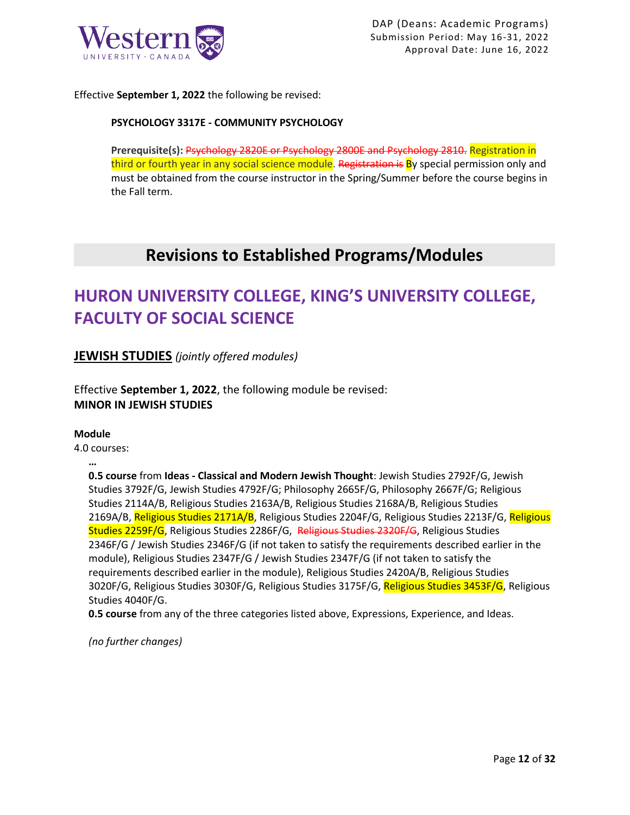

Effective **September 1, 2022** the following be revised:

### **PSYCHOLOGY 3317E - COMMUNITY PSYCHOLOGY**

**Prerequisite(s):** Psychology 2820E or Psychology 2800E and Psychology 2810. Registration in third or fourth year in any social science module. Registration is By special permission only and must be obtained from the course instructor in the Spring/Summer before the course begins in the Fall term.

## **Revisions to Established Programs/Modules**

# **HURON UNIVERSITY COLLEGE, KING'S UNIVERSITY COLLEGE, FACULTY OF SOCIAL SCIENCE**

**JEWISH STUDIES** *(jointly offered modules)*

Effective **September 1, 2022**, the following module be revised: **MINOR IN JEWISH STUDIES**

### **Module**

**…**

4.0 courses:

**0.5 course** from **Ideas - Classical and Modern Jewish Thought**: Jewish Studies 2792F/G, Jewish Studies 3792F/G, Jewish Studies 4792F/G; Philosophy 2665F/G, Philosophy 2667F/G; Religious Studies 2114A/B, Religious Studies 2163A/B, Religious Studies 2168A/B, Religious Studies 2169A/B, Religious Studies 2171A/B, Religious Studies 2204F/G, Religious Studies 2213F/G, Religious Studies 2259F/G, Religious Studies 2286F/G, Religious Studies 2320F/G, Religious Studies 2346F/G / Jewish Studies 2346F/G (if not taken to satisfy the requirements described earlier in the module), Religious Studies 2347F/G / Jewish Studies 2347F/G (if not taken to satisfy the requirements described earlier in the module), Religious Studies 2420A/B, Religious Studies 3020F/G, Religious Studies 3030F/G, Religious Studies 3175F/G, Religious Studies 3453F/G, Religious Studies 4040F/G.

**0.5 course** from any of the three categories listed above, Expressions, Experience, and Ideas.

*(no further changes)*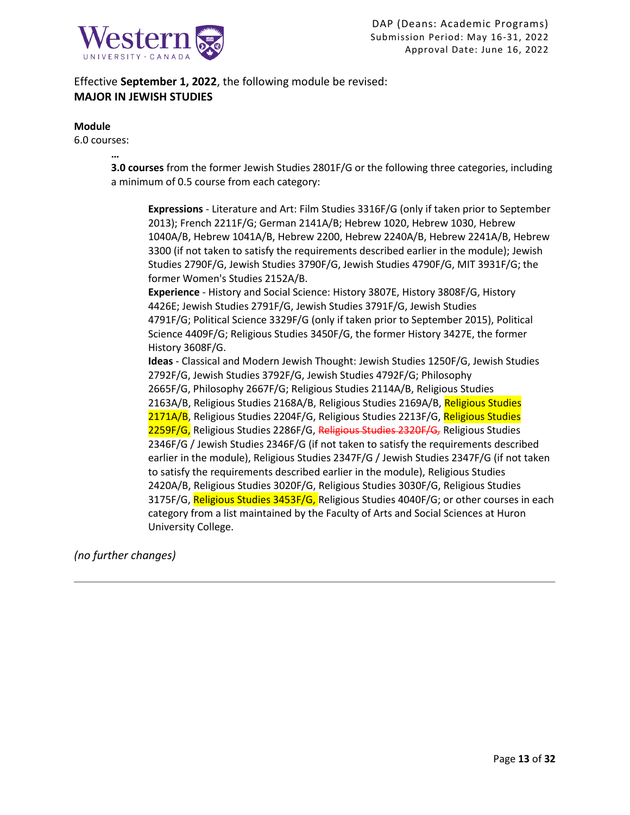

Effective **September 1, 2022**, the following module be revised: **MAJOR IN JEWISH STUDIES**

### **Module**

6.0 courses:

**… 3.0 courses** from the former Jewish Studies 2801F/G or the following three categories, including a minimum of 0.5 course from each category:

**Expressions** - Literature and Art: Film Studies 3316F/G (only if taken prior to September 2013); French 2211F/G; German 2141A/B; Hebrew 1020, Hebrew 1030, Hebrew 1040A/B, Hebrew 1041A/B, Hebrew 2200, Hebrew 2240A/B, Hebrew 2241A/B, Hebrew 3300 (if not taken to satisfy the requirements described earlier in the module); Jewish Studies 2790F/G, Jewish Studies 3790F/G, Jewish Studies 4790F/G, MIT 3931F/G; the former Women's Studies 2152A/B. **Experience** - History and Social Science: History 3807E, History 3808F/G, History 4426E; Jewish Studies 2791F/G, Jewish Studies 3791F/G, Jewish Studies 4791F/G; Political Science 3329F/G (only if taken prior to September 2015), Political Science 4409F/G; Religious Studies 3450F/G, the former History 3427E, the former History 3608F/G. **Ideas** - Classical and Modern Jewish Thought: Jewish Studies 1250F/G, Jewish Studies 2792F/G, Jewish Studies 3792F/G, Jewish Studies 4792F/G; Philosophy

2665F/G, Philosophy 2667F/G; Religious Studies 2114A/B, Religious Studies 2163A/B, Religious Studies 2168A/B, Religious Studies 2169A/B, Religious Studies 2171A/B, Religious Studies 2204F/G, Religious Studies 2213F/G, Religious Studies 2259F/G, Religious Studies 2286F/G, Religious Studies 2320F/G*,* Religious Studies 2346F/G / Jewish Studies 2346F/G (if not taken to satisfy the requirements described earlier in the module), Religious Studies 2347F/G / Jewish Studies 2347F/G (if not taken to satisfy the requirements described earlier in the module), Religious Studies 2420A/B, Religious Studies 3020F/G, Religious Studies 3030F/G, Religious Studies 3175F/G, Religious Studies 3453F/G, Religious Studies 4040F/G; or other courses in each category from a list maintained by the Faculty of Arts and Social Sciences at Huron University College.

*(no further changes)*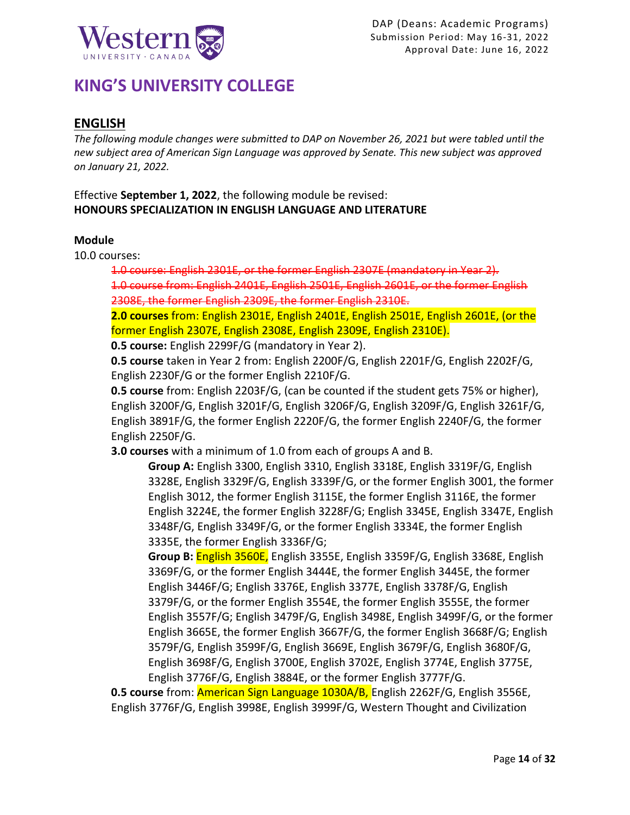

# **KING'S UNIVERSITY COLLEGE**

## **ENGLISH**

*The following module changes were submitted to DAP on November 26, 2021 but were tabled until the new subject area of American Sign Language was approved by Senate. This new subject was approved on January 21, 2022.*

Effective **September 1, 2022**, the following module be revised: **HONOURS SPECIALIZATION IN ENGLISH LANGUAGE AND LITERATURE**

## **Module**

10.0 courses:

1.0 course: English 2301E, or the former English 2307E (mandatory in Year 2). 1.0 course from: English 2401E, English 2501E, English 2601E, or the former English 2308E, the former English 2309E, the former English 2310E.

**2.0 courses** from: English 2301E, English 2401E, English 2501E, English 2601E, (or the former English 2307E, English 2308E, English 2309E, English 2310E).

**0.5 course:** English 2299F/G (mandatory in Year 2).

**0.5 course** taken in Year 2 from: English 2200F/G, English 2201F/G, English 2202F/G, English 2230F/G or the former English 2210F/G.

**0.5 course** from: English 2203F/G, (can be counted if the student gets 75% or higher), English 3200F/G, English 3201F/G, English 3206F/G, English 3209F/G, English 3261F/G, English 3891F/G, the former English 2220F/G, the former English 2240F/G, the former English 2250F/G.

**3.0 courses** with a minimum of 1.0 from each of groups A and B.

**Group A:** English 3300, English 3310, English 3318E, English 3319F/G, English 3328E, English 3329F/G, English 3339F/G, or the former English 3001, the former English 3012, the former English 3115E, the former English 3116E, the former English 3224E, the former English 3228F/G; English 3345E, English 3347E, English 3348F/G, English 3349F/G, or the former English 3334E, the former English 3335E, the former English 3336F/G;

**Group B:** English 3560E, English 3355E, English 3359F/G, English 3368E, English 3369F/G, or the former English 3444E, the former English 3445E, the former English 3446F/G; English 3376E, English 3377E, English 3378F/G, English 3379F/G, or the former English 3554E, the former English 3555E, the former English 3557F/G; English 3479F/G, English 3498E, English 3499F/G, or the former English 3665E, the former English 3667F/G, the former English 3668F/G; English 3579F/G, English 3599F/G, English 3669E, English 3679F/G, English 3680F/G, English 3698F/G, English 3700E, English 3702E, English 3774E, English 3775E, English 3776F/G, English 3884E, or the former English 3777F/G.

**0.5 course** from: American Sign Language 1030A/B, English 2262F/G, English 3556E, English 3776F/G, English 3998E, English 3999F/G, Western Thought and Civilization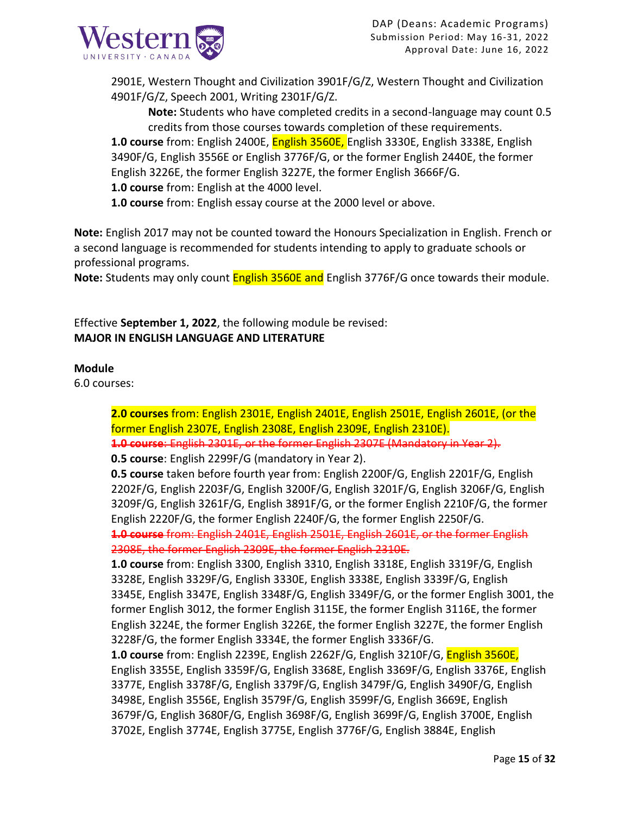

2901E, Western Thought and Civilization 3901F/G/Z, Western Thought and Civilization 4901F/G/Z, Speech 2001, Writing 2301F/G/Z.

**Note:** Students who have completed credits in a second-language may count 0.5 credits from those courses towards completion of these requirements.

**1.0 course** from: English 2400E, English 3560E, English 3330E, English 3338E, English 3490F/G, English 3556E or English 3776F/G, or the former English 2440E, the former English 3226E, the former English 3227E, the former English 3666F/G.

**1.0 course** from: English at the 4000 level.

**1.0 course** from: English essay course at the 2000 level or above.

**Note:** English 2017 may not be counted toward the Honours Specialization in English. French or a second language is recommended for students intending to apply to graduate schools or professional programs.

**Note:** Students may only count English 3560E and English 3776F/G once towards their module.

Effective **September 1, 2022**, the following module be revised: **MAJOR IN ENGLISH LANGUAGE AND LITERATURE**

## **Module**

6.0 courses:

**2.0 courses** from: English 2301E, English 2401E, English 2501E, English 2601E, (or the former English 2307E, English 2308E, English 2309E, English 2310E). **1.0 course**: English 2301E, or the former English 2307E (Mandatory in Year 2).

**0.5 course**: English 2299F/G (mandatory in Year 2).

**0.5 course** taken before fourth year from: English 2200F/G, English 2201F/G, English 2202F/G, English 2203F/G, English 3200F/G, English 3201F/G, English 3206F/G, English 3209F/G, English 3261F/G, English 3891F/G, or the former English 2210F/G, the former English 2220F/G, the former English 2240F/G, the former English 2250F/G. **1.0 course** from: English 2401E, English 2501E, English 2601E, or the former English

2308E, the former English 2309E, the former English 2310E.

**1.0 course** from: English 3300, English 3310, English 3318E, English 3319F/G, English 3328E, English 3329F/G, English 3330E, English 3338E, English 3339F/G, English 3345E, English 3347E, English 3348F/G, English 3349F/G, or the former English 3001, the former English 3012, the former English 3115E, the former English 3116E, the former English 3224E, the former English 3226E, the former English 3227E, the former English 3228F/G, the former English 3334E, the former English 3336F/G.

**1.0 course** from: English 2239E, English 2262F/G, English 3210F/G, English 3560E, English 3355E, English 3359F/G, English 3368E, English 3369F/G, English 3376E, English 3377E, English 3378F/G, English 3379F/G, English 3479F/G, English 3490F/G, English 3498E, English 3556E, English 3579F/G, English 3599F/G, English 3669E, English 3679F/G, English 3680F/G, English 3698F/G, English 3699F/G, English 3700E, English 3702E, English 3774E, English 3775E, English 3776F/G, English 3884E, English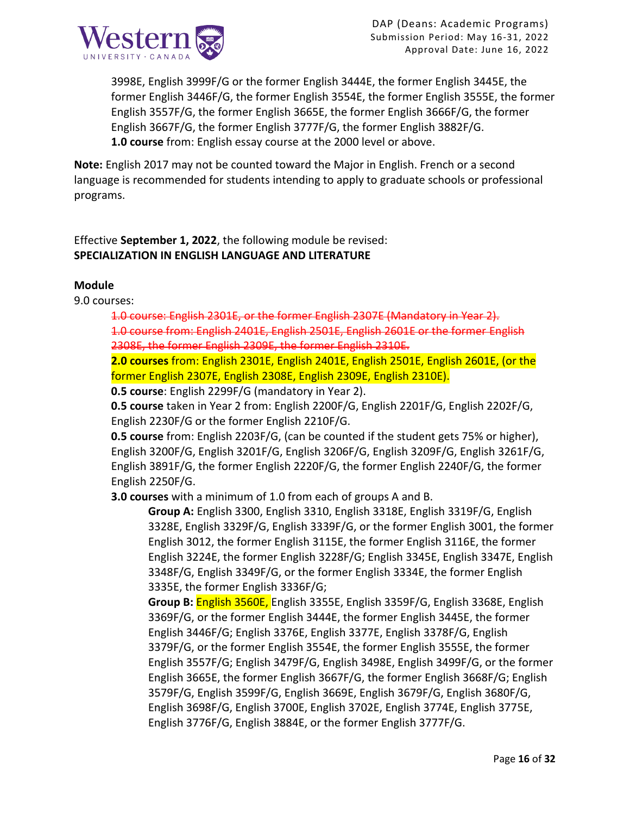

3998E, English 3999F/G or the former English 3444E, the former English 3445E, the former English 3446F/G, the former English 3554E, the former English 3555E, the former English 3557F/G, the former English 3665E, the former English 3666F/G, the former English 3667F/G, the former English 3777F/G, the former English 3882F/G. **1.0 course** from: English essay course at the 2000 level or above.

**Note:** English 2017 may not be counted toward the Major in English. French or a second language is recommended for students intending to apply to graduate schools or professional programs.

Effective **September 1, 2022**, the following module be revised: **SPECIALIZATION IN ENGLISH LANGUAGE AND LITERATURE**

## **Module**

9.0 courses:

1.0 course: English 2301E, or the former English 2307E (Mandat 1.0 course from: English 2401E, English 2501E, English 2601E or the 2308E, the former English 2309E, the former English 2310E.

**2.0 courses** from: English 2301E, English 2401E, English 2501E, English 2601E, (or the former English 2307E, English 2308E, English 2309E, English 2310E).

**0.5 course**: English 2299F/G (mandatory in Year 2).

**0.5 course** taken in Year 2 from: English 2200F/G, English 2201F/G, English 2202F/G, English 2230F/G or the former English 2210F/G.

**0.5 course** from: English 2203F/G, (can be counted if the student gets 75% or higher), English 3200F/G, English 3201F/G, English 3206F/G, English 3209F/G, English 3261F/G, English 3891F/G, the former English 2220F/G, the former English 2240F/G, the former English 2250F/G.

**3.0 courses** with a minimum of 1.0 from each of groups A and B.

**Group A:** English 3300, English 3310, English 3318E, English 3319F/G, English 3328E, English 3329F/G, English 3339F/G, or the former English 3001, the former English 3012, the former English 3115E, the former English 3116E, the former English 3224E, the former English 3228F/G; English 3345E, English 3347E, English 3348F/G, English 3349F/G, or the former English 3334E, the former English 3335E, the former English 3336F/G;

**Group B:** English 3560E, English 3355E, English 3359F/G, English 3368E, English 3369F/G, or the former English 3444E, the former English 3445E, the former English 3446F/G; English 3376E, English 3377E, English 3378F/G, English 3379F/G, or the former English 3554E, the former English 3555E, the former English 3557F/G; English 3479F/G, English 3498E, English 3499F/G, or the former English 3665E, the former English 3667F/G, the former English 3668F/G; English 3579F/G, English 3599F/G, English 3669E, English 3679F/G, English 3680F/G, English 3698F/G, English 3700E, English 3702E, English 3774E, English 3775E, English 3776F/G, English 3884E, or the former English 3777F/G.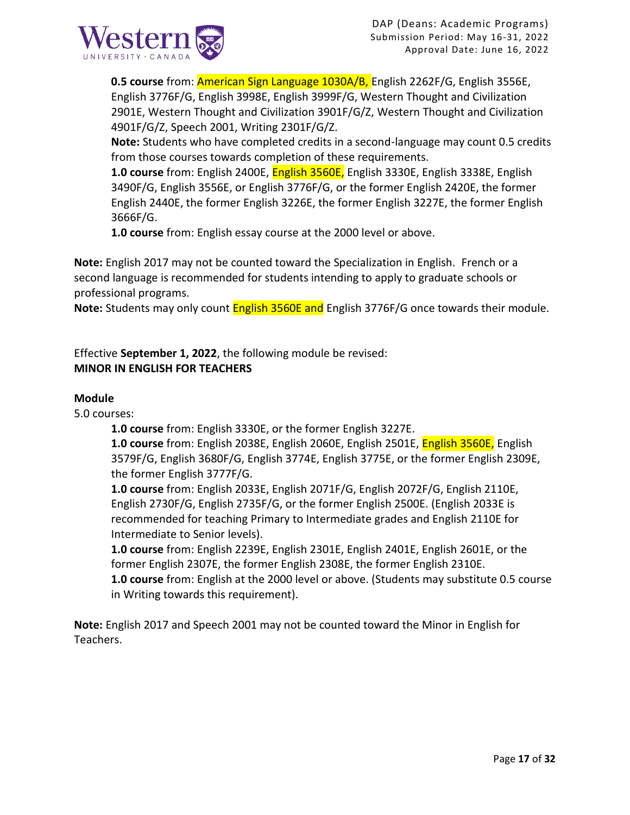

**0.5 course** from: American Sign Language 1030A/B, English 2262F/G, English 3556E, English 3776F/G, English 3998E, English 3999F/G, Western Thought and Civilization 2901E, Western Thought and Civilization 3901F/G/Z, Western Thought and Civilization 4901F/G/Z, Speech 2001, Writing 2301F/G/Z.

**Note:** Students who have completed credits in a second-language may count 0.5 credits from those courses towards completion of these requirements.

**1.0 course** from: English 2400E, English 3560E, English 3330E, English 3338E, English 3490F/G, English 3556E, or English 3776F/G, or the former English 2420E, the former English 2440E, the former English 3226E, the former English 3227E, the former English 3666F/G.

**1.0 course** from: English essay course at the 2000 level or above.

**Note:** English 2017 may not be counted toward the Specialization in English. French or a second language is recommended for students intending to apply to graduate schools or professional programs.

**Note:** Students may only count English 3560E and English 3776F/G once towards their module.

Effective **September 1, 2022**, the following module be revised: **MINOR IN ENGLISH FOR TEACHERS**

## **Module**

5.0 courses:

**1.0 course** from: English 3330E, or the former English 3227E.

**1.0 course** from: English 2038E, English 2060E, English 2501E, English 3560E, English 3579F/G, English 3680F/G, English 3774E, English 3775E, or the former English 2309E, the former English 3777F/G.

**1.0 course** from: English 2033E, English 2071F/G, English 2072F/G, English 2110E, English 2730F/G, English 2735F/G, or the former English 2500E. (English 2033E is recommended for teaching Primary to Intermediate grades and English 2110E for Intermediate to Senior levels).

**1.0 course** from: English 2239E, English 2301E, English 2401E, English 2601E, or the former English 2307E, the former English 2308E, the former English 2310E.

**1.0 course** from: English at the 2000 level or above. (Students may substitute 0.5 course in Writing towards this requirement).

**Note:** English 2017 and Speech 2001 may not be counted toward the Minor in English for Teachers.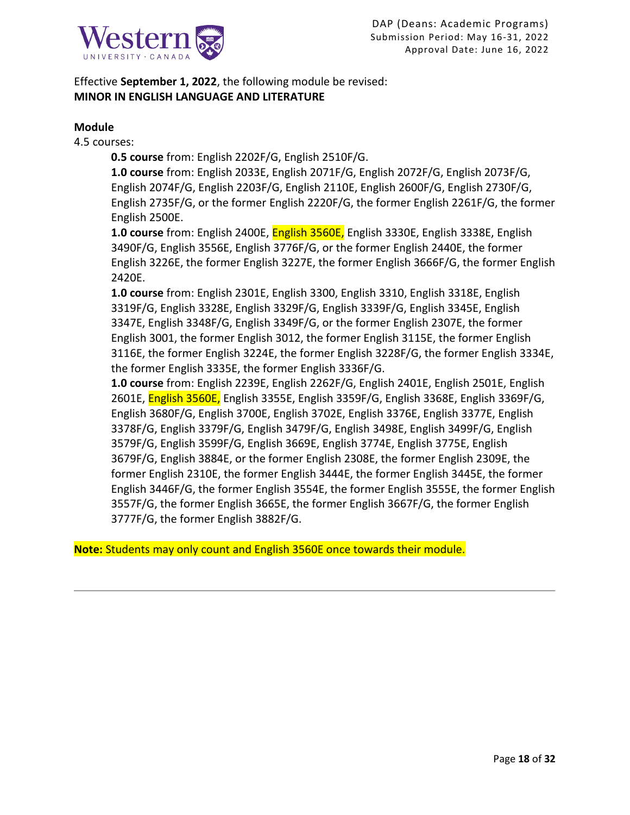

Effective **September 1, 2022**, the following module be revised: **MINOR IN ENGLISH LANGUAGE AND LITERATURE**

### **Module**

4.5 courses:

**0.5 course** from: English 2202F/G, English 2510F/G.

**1.0 course** from: English 2033E, English 2071F/G, English 2072F/G, English 2073F/G, English 2074F/G, English 2203F/G, English 2110E, English 2600F/G, English 2730F/G, English 2735F/G, or the former English 2220F/G, the former English 2261F/G, the former English 2500E.

**1.0 course** from: English 2400E, English 3560E, English 3330E, English 3338E, English 3490F/G, English 3556E, English 3776F/G, or the former English 2440E, the former English 3226E, the former English 3227E, the former English 3666F/G, the former English 2420E.

**1.0 course** from: English 2301E, English 3300, English 3310, English 3318E, English 3319F/G, English 3328E, English 3329F/G, English 3339F/G, English 3345E, English 3347E, English 3348F/G, English 3349F/G, or the former English 2307E, the former English 3001, the former English 3012, the former English 3115E, the former English 3116E, the former English 3224E, the former English 3228F/G, the former English 3334E, the former English 3335E, the former English 3336F/G.

**1.0 course** from: English 2239E, English 2262F/G, English 2401E, English 2501E, English 2601E, English 3560E, English 3355E, English 3359F/G, English 3368E, English 3369F/G, English 3680F/G, English 3700E, English 3702E, English 3376E, English 3377E, English 3378F/G, English 3379F/G, English 3479F/G, English 3498E, English 3499F/G, English 3579F/G, English 3599F/G, English 3669E, English 3774E, English 3775E, English 3679F/G, English 3884E, or the former English 2308E, the former English 2309E, the former English 2310E, the former English 3444E, the former English 3445E, the former English 3446F/G, the former English 3554E, the former English 3555E, the former English 3557F/G, the former English 3665E, the former English 3667F/G, the former English 3777F/G, the former English 3882F/G.

**Note:** Students may only count and English 3560E once towards their module.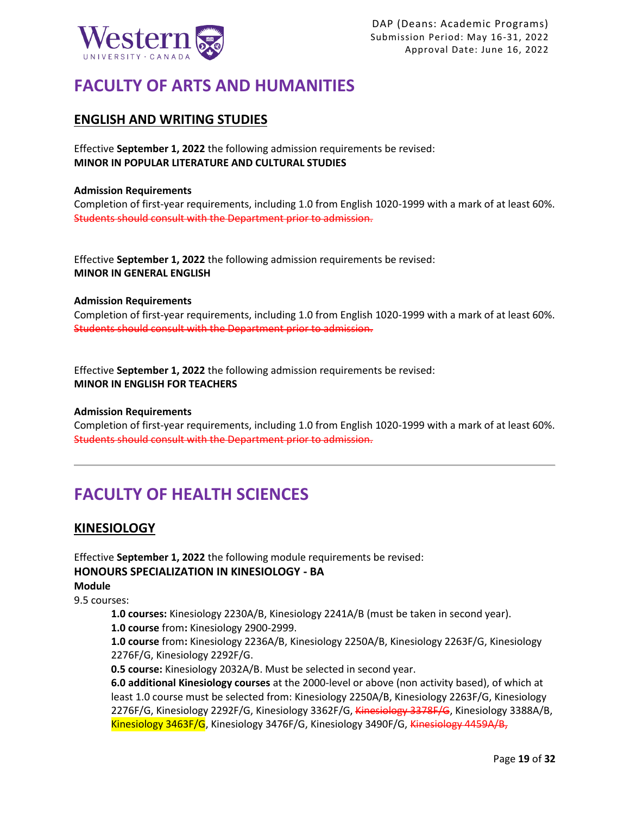

# **FACULTY OF ARTS AND HUMANITIES**

## **ENGLISH AND WRITING STUDIES**

Effective **September 1, 2022** the following admission requirements be revised: **MINOR IN POPULAR LITERATURE AND CULTURAL STUDIES**

### **Admission Requirements**

Completion of first-year requirements, including 1.0 from English 1020-1999 with a mark of at least 60%. Students should consult with the Department prior to admission.

Effective **September 1, 2022** the following admission requirements be revised: **MINOR IN GENERAL ENGLISH**

### **Admission Requirements**

Completion of first-year requirements, including 1.0 from English 1020-1999 with a mark of at least 60%. Students should consult with the Department prior to admission.

Effective **September 1, 2022** the following admission requirements be revised: **MINOR IN ENGLISH FOR TEACHERS**

### **Admission Requirements**

Completion of first-year requirements, including 1.0 from English 1020-1999 with a mark of at least 60%. Students should consult with the Department prior to admission.

## **FACULTY OF HEALTH SCIENCES**

## **KINESIOLOGY**

Effective **September 1, 2022** the following module requirements be revised: **HONOURS SPECIALIZATION IN KINESIOLOGY - BA Module**

9.5 courses:

**1.0 courses:** Kinesiology 2230A/B, Kinesiology 2241A/B (must be taken in second year). **1.0 course** from**:** Kinesiology 2900-2999.

**1.0 course** from**:** Kinesiology 2236A/B, Kinesiology 2250A/B, Kinesiology 2263F/G, Kinesiology 2276F/G, Kinesiology 2292F/G.

**0.5 course:** Kinesiology 2032A/B. Must be selected in second year.

**6.0 additional Kinesiology courses** at the 2000-level or above (non activity based), of which at least 1.0 course must be selected from: Kinesiology 2250A/B, Kinesiology 2263F/G, Kinesiology 2276F/G, Kinesiology 2292F/G, Kinesiology 3362F/G, Kinesiology 3378F/G, Kinesiology 3388A/B, Kinesiology 3463F/G, Kinesiology 3476F/G, Kinesiology 3490F/G, Kinesiology 4459A/B,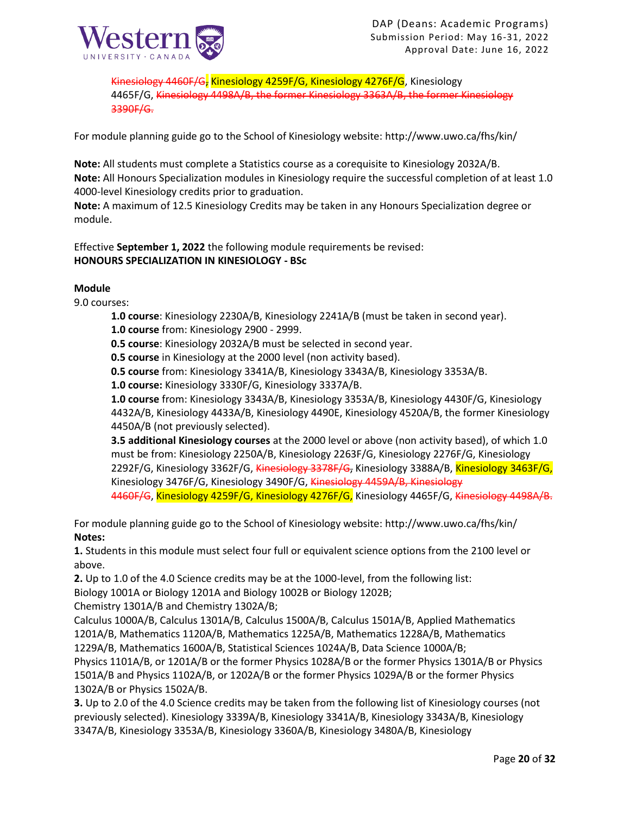

Kinesiology 4460F/G, Kinesiology 4259F/G, Kinesiology 4276F/G, Kinesiology 4465F/G, Kinesiology 4498A/B, the former Kinesiology 3363A/B, the former Kinesiology 3390F/G.

For module planning guide go to the School of Kinesiology website: http://www.uwo.ca/fhs/kin/

**Note:** All students must complete a Statistics course as a corequisite to Kinesiology 2032A/B. **Note:** All Honours Specialization modules in Kinesiology require the successful completion of at least 1.0 4000-level Kinesiology credits prior to graduation.

**Note:** A maximum of 12.5 Kinesiology Credits may be taken in any Honours Specialization degree or module.

Effective **September 1, 2022** the following module requirements be revised: **HONOURS SPECIALIZATION IN KINESIOLOGY - BSc**

### **Module**

9.0 courses:

- **1.0 course**: Kinesiology 2230A/B, Kinesiology 2241A/B (must be taken in second year).
- **1.0 course** from: Kinesiology 2900 2999.
- **0.5 course**: Kinesiology 2032A/B must be selected in second year.
- **0.5 course** in Kinesiology at the 2000 level (non activity based).
- **0.5 course** from: Kinesiology 3341A/B, Kinesiology 3343A/B, Kinesiology 3353A/B.
- **1.0 course:** Kinesiology 3330F/G, Kinesiology 3337A/B.

**1.0 course** from: Kinesiology 3343A/B, Kinesiology 3353A/B, Kinesiology 4430F/G, Kinesiology 4432A/B, Kinesiology 4433A/B, Kinesiology 4490E, Kinesiology 4520A/B, the former Kinesiology 4450A/B (not previously selected).

**3.5 additional Kinesiology courses** at the 2000 level or above (non activity based), of which 1.0 must be from: Kinesiology 2250A/B, Kinesiology 2263F/G, Kinesiology 2276F/G, Kinesiology 2292F/G, Kinesiology 3362F/G, Kinesiology 3378F/G, Kinesiology 3388A/B, Kinesiology 3463F/G, Kinesiology 3476F/G, Kinesiology 3490F/G, Kinesiology 4459A/B, Kinesiology 4460F/G, Kinesiology 4259F/G, Kinesiology 4276F/G, Kinesiology 4465F/G, Kinesiology 4498A/B.

For module planning guide go to the School of Kinesiology website: http://www.uwo.ca/fhs/kin/ **Notes:**

**1.** Students in this module must select four full or equivalent science options from the 2100 level or above.

**2.** Up to 1.0 of the 4.0 Science credits may be at the 1000-level, from the following list:

Biology 1001A or Biology 1201A and Biology 1002B or Biology 1202B;

Chemistry 1301A/B and Chemistry 1302A/B;

Calculus 1000A/B, Calculus 1301A/B, Calculus 1500A/B, Calculus 1501A/B, Applied Mathematics 1201A/B, Mathematics 1120A/B, Mathematics 1225A/B, Mathematics 1228A/B, Mathematics 1229A/B, Mathematics 1600A/B, Statistical Sciences 1024A/B, Data Science 1000A/B;

Physics 1101A/B, or 1201A/B or the former Physics 1028A/B or the former Physics 1301A/B or Physics 1501A/B and Physics 1102A/B, or 1202A/B or the former Physics 1029A/B or the former Physics 1302A/B or Physics 1502A/B.

**3.** Up to 2.0 of the 4.0 Science credits may be taken from the following list of Kinesiology courses (not previously selected). Kinesiology 3339A/B, Kinesiology 3341A/B, Kinesiology 3343A/B, Kinesiology 3347A/B, Kinesiology 3353A/B, Kinesiology 3360A/B, Kinesiology 3480A/B, Kinesiology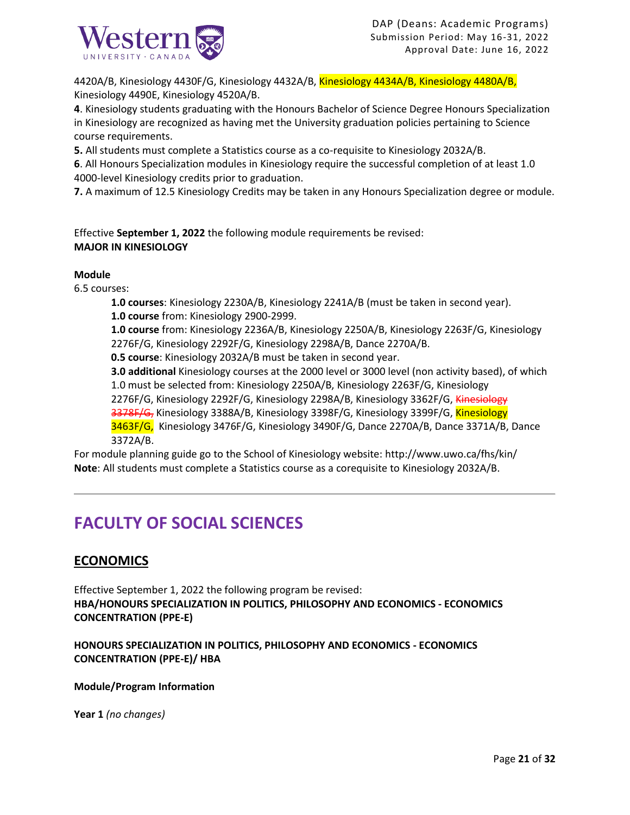

4420A/B, Kinesiology 4430F/G, Kinesiology 4432A/B, Kinesiology 4434A/B, Kinesiology 4480A/B, Kinesiology 4490E, Kinesiology 4520A/B.

**4**. Kinesiology students graduating with the Honours Bachelor of Science Degree Honours Specialization in Kinesiology are recognized as having met the University graduation policies pertaining to Science course requirements.

**5.** All students must complete a Statistics course as a co-requisite to Kinesiology 2032A/B.

**6**. All Honours Specialization modules in Kinesiology require the successful completion of at least 1.0 4000-level Kinesiology credits prior to graduation.

**7.** A maximum of 12.5 Kinesiology Credits may be taken in any Honours Specialization degree or module.

Effective **September 1, 2022** the following module requirements be revised: **MAJOR IN KINESIOLOGY**

### **Module**

6.5 courses:

**1.0 courses**: Kinesiology 2230A/B, Kinesiology 2241A/B (must be taken in second year). **1.0 course** from: Kinesiology 2900-2999.

**1.0 course** from: Kinesiology 2236A/B, Kinesiology 2250A/B, Kinesiology 2263F/G, Kinesiology 2276F/G, Kinesiology 2292F/G, Kinesiology 2298A/B, Dance 2270A/B.

**0.5 course**: Kinesiology 2032A/B must be taken in second year.

**3.0 additional** Kinesiology courses at the 2000 level or 3000 level (non activity based), of which 1.0 must be selected from: Kinesiology 2250A/B, Kinesiology 2263F/G, Kinesiology

2276F/G, Kinesiology 2292F/G, Kinesiology 2298A/B, Kinesiology 3362F/G, Kinesiology

3378F/G, Kinesiology 3388A/B, Kinesiology 3398F/G, Kinesiology 3399F/G, Kinesiology

3463F/G, Kinesiology 3476F/G, Kinesiology 3490F/G, Dance 2270A/B, Dance 3371A/B, Dance 3372A/B.

For module planning guide go to the School of Kinesiology website: http://www.uwo.ca/fhs/kin/ **Note**: All students must complete a Statistics course as a corequisite to Kinesiology 2032A/B.

## **FACULTY OF SOCIAL SCIENCES**

## **ECONOMICS**

Effective September 1, 2022 the following program be revised: **HBA/HONOURS SPECIALIZATION IN POLITICS, PHILOSOPHY AND ECONOMICS - ECONOMICS CONCENTRATION (PPE-E)**

**HONOURS SPECIALIZATION IN POLITICS, PHILOSOPHY AND ECONOMICS - ECONOMICS CONCENTRATION (PPE-E)/ HBA**

### **Module/Program Information**

**Year 1** *(no changes)*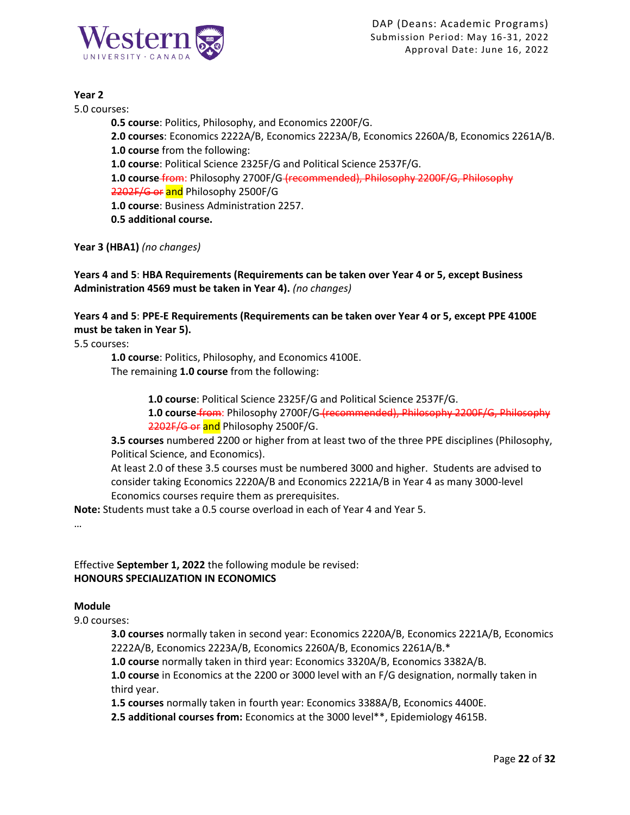

### **Year 2**

5.0 courses:

**0.5 course**: Politics, Philosophy, and Economics 2200F/G. **2.0 courses**: Economics 2222A/B, Economics 2223A/B, Economics 2260A/B, Economics 2261A/B. **1.0 course** from the following: **1.0 course**: Political Science 2325F/G and Political Science 2537F/G. **1.0 course** from: Philosophy 2700F/G (recommended), Philosophy 2200F/G, Philosophy 2202F/G or and Philosophy 2500F/G **1.0 course**: Business Administration 2257. **0.5 additional course.**

**Year 3 (HBA1)** *(no changes)*

**Years 4 and 5**: **HBA Requirements (Requirements can be taken over Year 4 or 5, except Business Administration 4569 must be taken in Year 4).** *(no changes)*

**Years 4 and 5**: **PPE-E Requirements (Requirements can be taken over Year 4 or 5, except PPE 4100E must be taken in Year 5).**

5.5 courses:

**1.0 course**: Politics, Philosophy, and Economics 4100E. The remaining **1.0 course** from the following:

**1.0 course**: Political Science 2325F/G and Political Science 2537F/G.

**1.0 course** from: Philosophy 2700F/G (recommended), Philosophy 2200F/G, Philosophy 2202F/G or and Philosophy 2500F/G.

**3.5 courses** numbered 2200 or higher from at least two of the three PPE disciplines (Philosophy, Political Science, and Economics).

At least 2.0 of these 3.5 courses must be numbered 3000 and higher. Students are advised to consider taking Economics 2220A/B and Economics 2221A/B in Year 4 as many 3000-level Economics courses require them as prerequisites.

**Note:** Students must take a 0.5 course overload in each of Year 4 and Year 5.

…

Effective **September 1, 2022** the following module be revised: **HONOURS SPECIALIZATION IN ECONOMICS**

### **Module**

9.0 courses:

**3.0 courses** normally taken in second year: Economics 2220A/B, Economics 2221A/B, Economics 2222A/B, Economics 2223A/B, Economics 2260A/B, Economics 2261A/B.\*

**1.0 course** normally taken in third year: Economics 3320A/B, Economics 3382A/B.

**1.0 course** in Economics at the 2200 or 3000 level with an F/G designation, normally taken in third year.

**1.5 courses** normally taken in fourth year: Economics 3388A/B, Economics 4400E.

**2.5 additional courses from:** Economics at the 3000 level\*\*, Epidemiology 4615B.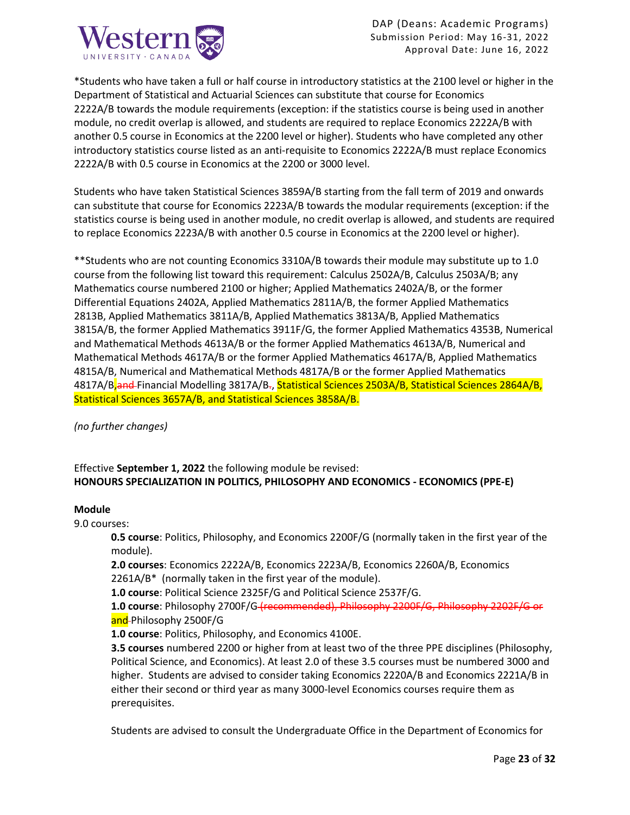

\*Students who have taken a full or half course in introductory statistics at the 2100 level or higher in the Department of Statistical and Actuarial Sciences can substitute that course for Economics 2222A/B towards the module requirements (exception: if the statistics course is being used in another module, no credit overlap is allowed, and students are required to replace Economics 2222A/B with another 0.5 course in Economics at the 2200 level or higher). Students who have completed any other introductory statistics course listed as an anti-requisite to Economics 2222A/B must replace Economics 2222A/B with 0.5 course in Economics at the 2200 or 3000 level.

Students who have taken Statistical Sciences 3859A/B starting from the fall term of 2019 and onwards can substitute that course for Economics 2223A/B towards the modular requirements (exception: if the statistics course is being used in another module, no credit overlap is allowed, and students are required to replace Economics 2223A/B with another 0.5 course in Economics at the 2200 level or higher).

\*\*Students who are not counting Economics 3310A/B towards their module may substitute up to 1.0 course from the following list toward this requirement: Calculus 2502A/B, Calculus 2503A/B; any Mathematics course numbered 2100 or higher; Applied Mathematics 2402A/B, or the former Differential Equations 2402A, Applied Mathematics 2811A/B, the former Applied Mathematics 2813B, Applied Mathematics 3811A/B, Applied Mathematics 3813A/B, Applied Mathematics 3815A/B, the former Applied Mathematics 3911F/G, the former Applied Mathematics 4353B, Numerical and Mathematical Methods 4613A/B or the former Applied Mathematics 4613A/B, Numerical and Mathematical Methods 4617A/B or the former Applied Mathematics 4617A/B, Applied Mathematics 4815A/B, Numerical and Mathematical Methods 4817A/B or the former Applied Mathematics 4817A/B<sub>a</sub>nd Financial Modelling 3817A/B<sub>7</sub>, Statistical Sciences 2503A/B, Statistical Sciences 2864A/B, Statistical Sciences 3657A/B, and Statistical Sciences 3858A/B.

*(no further changes)*

## Effective **September 1, 2022** the following module be revised: **HONOURS SPECIALIZATION IN POLITICS, PHILOSOPHY AND ECONOMICS - ECONOMICS (PPE-E)**

### **Module**

9.0 courses:

**0.5 course**: Politics, Philosophy, and Economics 2200F/G (normally taken in the first year of the module).

**2.0 courses**: Economics 2222A/B, Economics 2223A/B, Economics 2260A/B, Economics 2261A/B\* (normally taken in the first year of the module).

**1.0 course**: Political Science 2325F/G and Political Science 2537F/G.

**1.0 course**: Philosophy 2700F/G (recommended), Philosophy 2200F/G, Philosophy 2202F/G or and-Philosophy 2500F/G

**1.0 course**: Politics, Philosophy, and Economics 4100E.

**3.5 courses** numbered 2200 or higher from at least two of the three PPE disciplines (Philosophy, Political Science, and Economics). At least 2.0 of these 3.5 courses must be numbered 3000 and higher. Students are advised to consider taking Economics 2220A/B and Economics 2221A/B in either their second or third year as many 3000-level Economics courses require them as prerequisites.

Students are advised to consult the Undergraduate Office in the Department of Economics for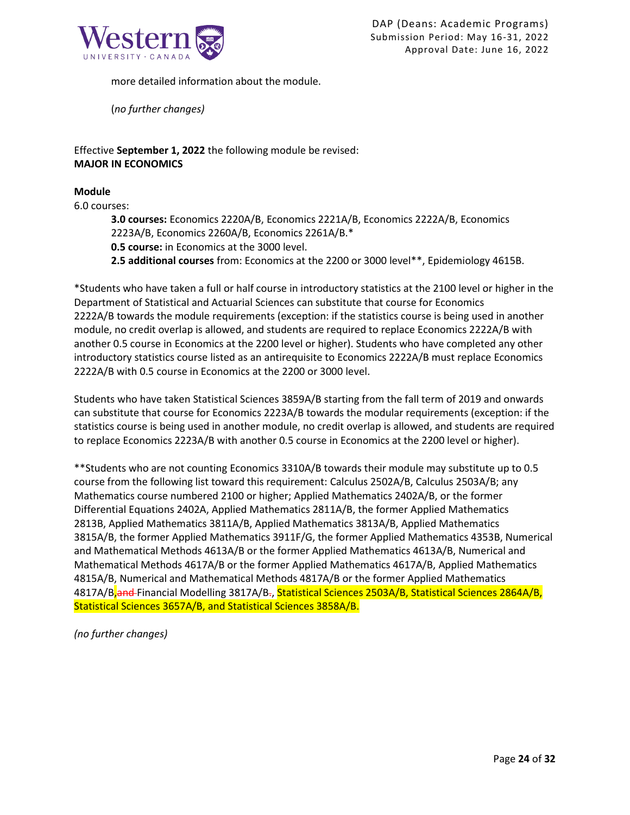

more detailed information about the module.

(*no further changes)*

Effective **September 1, 2022** the following module be revised: **MAJOR IN ECONOMICS**

### **Module**

6.0 courses:

**3.0 courses:** Economics 2220A/B, Economics 2221A/B, Economics 2222A/B, Economics 2223A/B, Economics 2260A/B, Economics 2261A/B.\*

**0.5 course:** in Economics at the 3000 level.

**2.5 additional courses** from: Economics at the 2200 or 3000 level\*\*, Epidemiology 4615B.

\*Students who have taken a full or half course in introductory statistics at the 2100 level or higher in the Department of Statistical and Actuarial Sciences can substitute that course for Economics 2222A/B towards the module requirements (exception: if the statistics course is being used in another module, no credit overlap is allowed, and students are required to replace Economics 2222A/B with another 0.5 course in Economics at the 2200 level or higher). Students who have completed any other introductory statistics course listed as an antirequisite to Economics 2222A/B must replace Economics 2222A/B with 0.5 course in Economics at the 2200 or 3000 level.

Students who have taken Statistical Sciences 3859A/B starting from the fall term of 2019 and onwards can substitute that course for Economics 2223A/B towards the modular requirements (exception: if the statistics course is being used in another module, no credit overlap is allowed, and students are required to replace Economics 2223A/B with another 0.5 course in Economics at the 2200 level or higher).

\*\*Students who are not counting Economics 3310A/B towards their module may substitute up to 0.5 course from the following list toward this requirement: Calculus 2502A/B, Calculus 2503A/B; any Mathematics course numbered 2100 or higher; Applied Mathematics 2402A/B, or the former Differential Equations 2402A, Applied Mathematics 2811A/B, the former Applied Mathematics 2813B, Applied Mathematics 3811A/B, Applied Mathematics 3813A/B, Applied Mathematics 3815A/B, the former Applied Mathematics 3911F/G, the former Applied Mathematics 4353B, Numerical and Mathematical Methods 4613A/B or the former Applied Mathematics 4613A/B, Numerical and Mathematical Methods 4617A/B or the former Applied Mathematics 4617A/B, Applied Mathematics 4815A/B, Numerical and Mathematical Methods 4817A/B or the former Applied Mathematics 4817A/B<sub>a</sub>nd Financial Modelling 3817A/B<sub>7</sub>, Statistical Sciences 2503A/B, Statistical Sciences 2864A/B, Statistical Sciences 3657A/B, and Statistical Sciences 3858A/B.

*(no further changes)*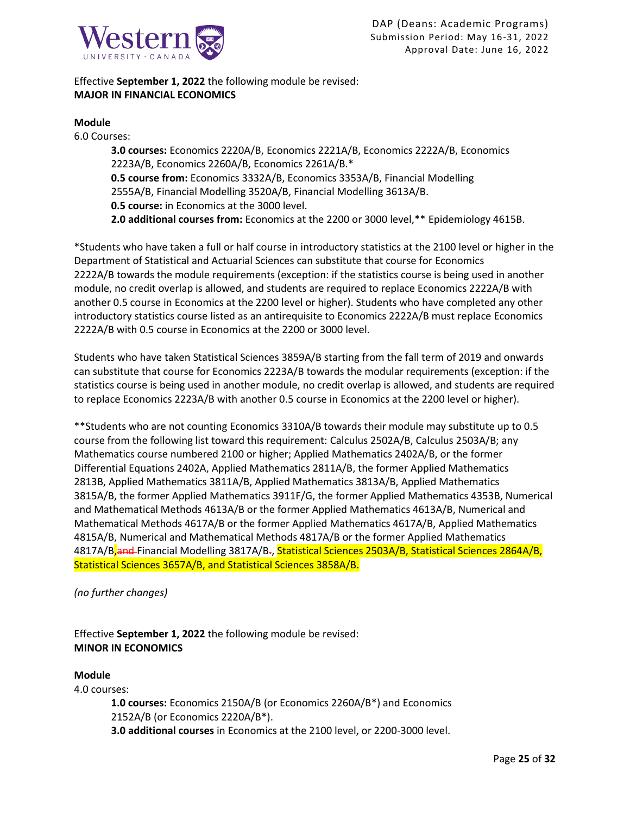

Effective **September 1, 2022** the following module be revised: **MAJOR IN FINANCIAL ECONOMICS**

### **Module**

6.0 Courses: **3.0 courses:** Economics 2220A/B, Economics 2221A/B, Economics 2222A/B, Economics 2223A/B, Economics 2260A/B, Economics 2261A/B.\* **0.5 course from:** Economics 3332A/B, Economics 3353A/B, Financial Modelling 2555A/B, Financial Modelling 3520A/B, Financial Modelling 3613A/B. **0.5 course:** in Economics at the 3000 level. **2.0 additional courses from:** Economics at the 2200 or 3000 level,\*\* Epidemiology 4615B.

\*Students who have taken a full or half course in introductory statistics at the 2100 level or higher in the Department of Statistical and Actuarial Sciences can substitute that course for Economics 2222A/B towards the module requirements (exception: if the statistics course is being used in another module, no credit overlap is allowed, and students are required to replace Economics 2222A/B with another 0.5 course in Economics at the 2200 level or higher). Students who have completed any other introductory statistics course listed as an antirequisite to Economics 2222A/B must replace Economics 2222A/B with 0.5 course in Economics at the 2200 or 3000 level.

Students who have taken Statistical Sciences 3859A/B starting from the fall term of 2019 and onwards can substitute that course for Economics 2223A/B towards the modular requirements (exception: if the statistics course is being used in another module, no credit overlap is allowed, and students are required to replace Economics 2223A/B with another 0.5 course in Economics at the 2200 level or higher).

\*\*Students who are not counting Economics 3310A/B towards their module may substitute up to 0.5 course from the following list toward this requirement: Calculus 2502A/B, Calculus 2503A/B; any Mathematics course numbered 2100 or higher; Applied Mathematics 2402A/B, or the former Differential Equations 2402A, Applied Mathematics 2811A/B, the former Applied Mathematics 2813B, Applied Mathematics 3811A/B, Applied Mathematics 3813A/B, Applied Mathematics 3815A/B, the former Applied Mathematics 3911F/G, the former Applied Mathematics 4353B, Numerical and Mathematical Methods 4613A/B or the former Applied Mathematics 4613A/B, Numerical and Mathematical Methods 4617A/B or the former Applied Mathematics 4617A/B, Applied Mathematics 4815A/B, Numerical and Mathematical Methods 4817A/B or the former Applied Mathematics 4817A/B<sub>a</sub>nd Financial Modelling 3817A/B<sub>7</sub>, Statistical Sciences 2503A/B, Statistical Sciences 2864A/B, Statistical Sciences 3657A/B, and Statistical Sciences 3858A/B.

### *(no further changes)*

Effective **September 1, 2022** the following module be revised: **MINOR IN ECONOMICS**

### **Module**

4.0 courses:

**1.0 courses:** Economics 2150A/B (or Economics 2260A/B\*) and Economics 2152A/B (or Economics 2220A/B\*). **3.0 additional courses** in Economics at the 2100 level, or 2200-3000 level.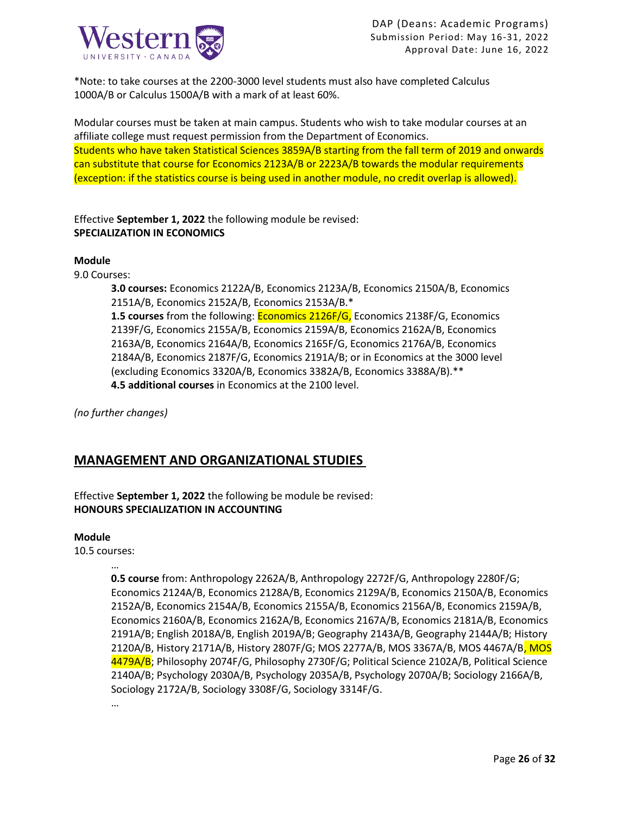

\*Note: to take courses at the 2200-3000 level students must also have completed Calculus 1000A/B or Calculus 1500A/B with a mark of at least 60%.

Modular courses must be taken at main campus. Students who wish to take modular courses at an affiliate college must request permission from the Department of Economics. Students who have taken Statistical Sciences 3859A/B starting from the fall term of 2019 and onwards can substitute that course for Economics 2123A/B or 2223A/B towards the modular requirements (exception: if the statistics course is being used in another module, no credit overlap is allowed).

Effective **September 1, 2022** the following module be revised: **SPECIALIZATION IN ECONOMICS**

### **Module**

9.0 Courses:

**3.0 courses:** Economics 2122A/B, Economics 2123A/B, Economics 2150A/B, Economics 2151A/B, Economics 2152A/B, Economics 2153A/B.\*

**1.5 courses** from the following: Economics 2126F/G, Economics 2138F/G, Economics 2139F/G, Economics 2155A/B, Economics 2159A/B, Economics 2162A/B, Economics 2163A/B, Economics 2164A/B, Economics 2165F/G, Economics 2176A/B, Economics 2184A/B, Economics 2187F/G, Economics 2191A/B; or in Economics at the 3000 level (excluding Economics 3320A/B, Economics 3382A/B, Economics 3388A/B).\*\* **4.5 additional courses** in Economics at the 2100 level.

*(no further changes)*

## **MANAGEMENT AND ORGANIZATIONAL STUDIES**

## Effective **September 1, 2022** the following be module be revised: **HONOURS SPECIALIZATION IN ACCOUNTING**

### **Module**

10.5 courses:

…

**0.5 course** from: Anthropology 2262A/B, Anthropology 2272F/G, Anthropology 2280F/G; Economics 2124A/B, Economics 2128A/B, Economics 2129A/B, Economics 2150A/B, Economics 2152A/B, Economics 2154A/B, Economics 2155A/B, Economics 2156A/B, Economics 2159A/B, Economics 2160A/B, Economics 2162A/B, Economics 2167A/B, Economics 2181A/B, Economics 2191A/B; English 2018A/B, English 2019A/B; Geography 2143A/B, Geography 2144A/B; History 2120A/B, History 2171A/B, History 2807F/G; MOS 2277A/B, MOS 3367A/B, MOS 4467A/B, MOS 4479A/B; Philosophy 2074F/G, Philosophy 2730F/G; Political Science 2102A/B, Political Science 2140A/B; Psychology 2030A/B, Psychology 2035A/B, Psychology 2070A/B; Sociology 2166A/B, Sociology 2172A/B, Sociology 3308F/G, Sociology 3314F/G.

…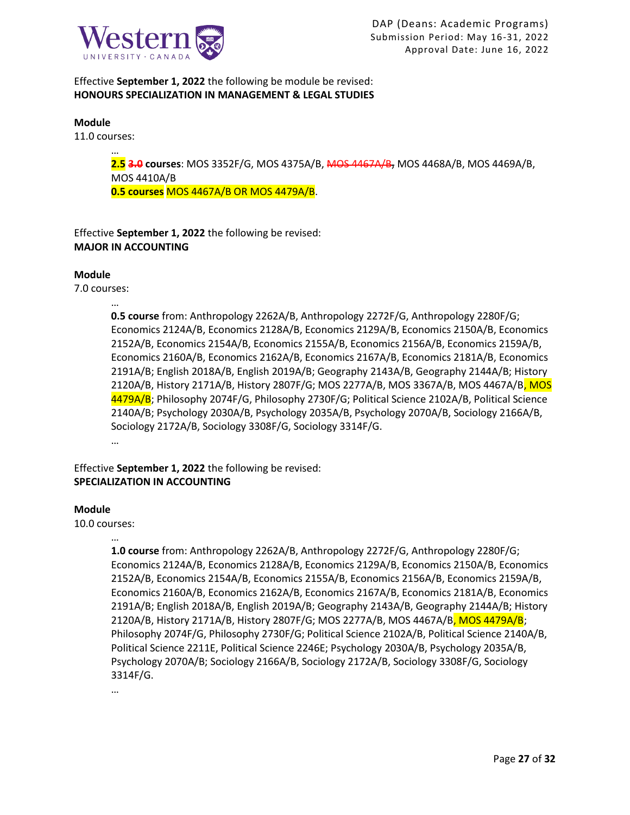

## Effective **September 1, 2022** the following be module be revised: **HONOURS SPECIALIZATION IN MANAGEMENT & LEGAL STUDIES**

#### **Module**

11.0 courses:

…

**2.5 3.0 courses**: MOS 3352F/G, MOS 4375A/B, MOS 4467A/B, MOS 4468A/B, MOS 4469A/B, MOS 4410A/B **0.5 courses** MOS 4467A/B OR MOS 4479A/B.

Effective **September 1, 2022** the following be revised: **MAJOR IN ACCOUNTING**

### **Module**

7.0 courses:

…

**0.5 course** from: Anthropology 2262A/B, Anthropology 2272F/G, Anthropology 2280F/G; Economics 2124A/B, Economics 2128A/B, Economics 2129A/B, Economics 2150A/B, Economics 2152A/B, Economics 2154A/B, Economics 2155A/B, Economics 2156A/B, Economics 2159A/B, Economics 2160A/B, Economics 2162A/B, Economics 2167A/B, Economics 2181A/B, Economics 2191A/B; English 2018A/B, English 2019A/B; Geography 2143A/B, Geography 2144A/B; History 2120A/B, History 2171A/B, History 2807F/G; MOS 2277A/B, MOS 3367A/B, MOS 4467A/B, MOS 4479A/B; Philosophy 2074F/G, Philosophy 2730F/G; Political Science 2102A/B, Political Science 2140A/B; Psychology 2030A/B, Psychology 2035A/B, Psychology 2070A/B, Sociology 2166A/B, Sociology 2172A/B, Sociology 3308F/G, Sociology 3314F/G. …

Effective **September 1, 2022** the following be revised: **SPECIALIZATION IN ACCOUNTING**

### **Module**

10.0 courses:

…

**1.0 course** from: Anthropology 2262A/B, Anthropology 2272F/G, Anthropology 2280F/G; Economics 2124A/B, Economics 2128A/B, Economics 2129A/B, Economics 2150A/B, Economics 2152A/B, Economics 2154A/B, Economics 2155A/B, Economics 2156A/B, Economics 2159A/B, Economics 2160A/B, Economics 2162A/B, Economics 2167A/B, Economics 2181A/B, Economics 2191A/B; English 2018A/B, English 2019A/B; Geography 2143A/B, Geography 2144A/B; History 2120A/B, History 2171A/B, History 2807F/G; MOS 2277A/B, MOS 4467A/B, MOS 4479A/B; Philosophy 2074F/G, Philosophy 2730F/G; Political Science 2102A/B, Political Science 2140A/B, Political Science 2211E, Political Science 2246E; Psychology 2030A/B, Psychology 2035A/B, Psychology 2070A/B; Sociology 2166A/B, Sociology 2172A/B, Sociology 3308F/G, Sociology 3314F/G.

…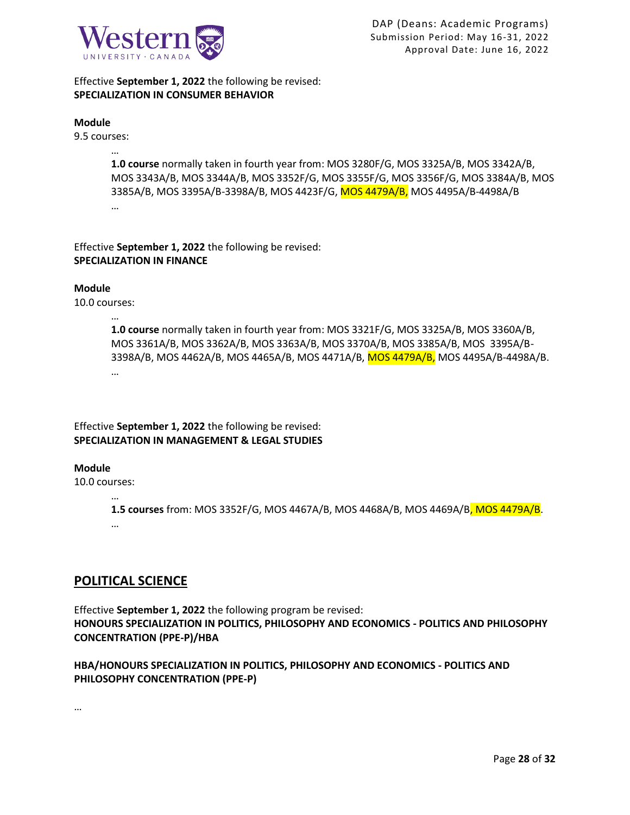

Effective **September 1, 2022** the following be revised: **SPECIALIZATION IN CONSUMER BEHAVIOR**

#### **Module**

9.5 courses:

…

**1.0 course** normally taken in fourth year from: MOS 3280F/G, MOS 3325A/B, MOS 3342A/B, MOS 3343A/B, MOS 3344A/B, MOS 3352F/G, MOS 3355F/G, MOS 3356F/G, MOS 3384A/B, MOS 3385A/B, MOS 3395A/B-3398A/B, MOS 4423F/G, MOS 4479A/B, MOS 4495A/B-4498A/B …

Effective **September 1, 2022** the following be revised: **SPECIALIZATION IN FINANCE**

### **Module**

10.0 courses:

…

**1.0 course** normally taken in fourth year from: MOS 3321F/G, MOS 3325A/B, MOS 3360A/B, MOS 3361A/B, MOS 3362A/B, MOS 3363A/B, MOS 3370A/B, MOS 3385A/B, MOS 3395A/B-3398A/B, MOS 4462A/B, MOS 4465A/B, MOS 4471A/B, MOS 4479A/B, MOS 4495A/B-4498A/B. …

Effective **September 1, 2022** the following be revised: **SPECIALIZATION IN MANAGEMENT & LEGAL STUDIES**

### **Module**

10.0 courses:

…

**1.5 courses** from: MOS 3352F/G, MOS 4467A/B, MOS 4468A/B, MOS 4469A/B, MOS 4479A/B. …

## **POLITICAL SCIENCE**

Effective **September 1, 2022** the following program be revised: **HONOURS SPECIALIZATION IN POLITICS, PHILOSOPHY AND ECONOMICS - POLITICS AND PHILOSOPHY CONCENTRATION (PPE-P)/HBA** 

## **HBA/HONOURS SPECIALIZATION IN POLITICS, PHILOSOPHY AND ECONOMICS - POLITICS AND PHILOSOPHY CONCENTRATION (PPE-P)**

…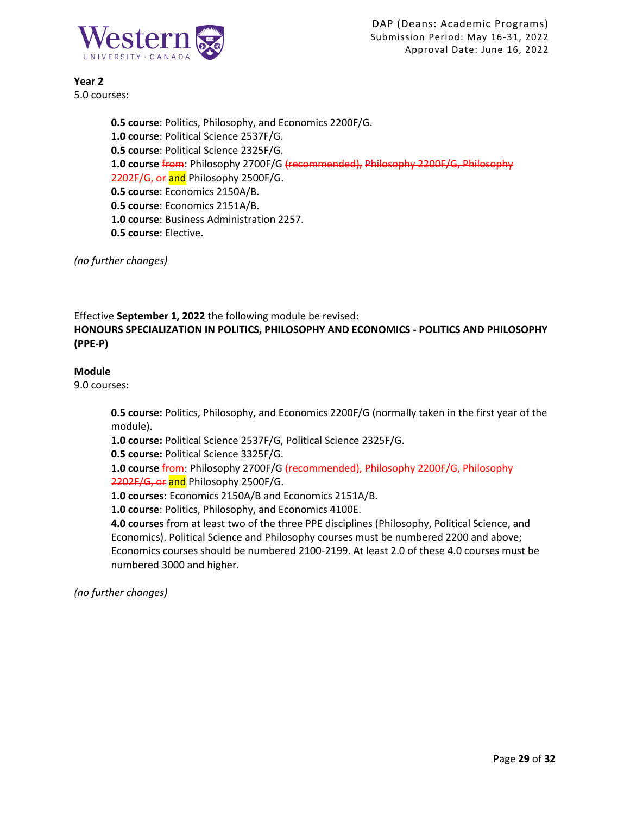

**Year 2** 5.0 courses:

> **0.5 course**: Politics, Philosophy, and Economics 2200F/G. **1.0 course**: Political Science 2537F/G. **0.5 course**: Political Science 2325F/G. **1.0 course** from: Philosophy 2700F/G (recommended), Philosophy 2200F/G, Philosophy 2202F/G, or and Philosophy 2500F/G. **0.5 course**: Economics 2150A/B. **0.5 course**: Economics 2151A/B. **1.0 course**: Business Administration 2257. **0.5 course**: Elective.

*(no further changes)*

Effective **September 1, 2022** the following module be revised: **HONOURS SPECIALIZATION IN POLITICS, PHILOSOPHY AND ECONOMICS - POLITICS AND PHILOSOPHY (PPE-P)**

### **Module**

9.0 courses:

**0.5 course:** Politics, Philosophy, and Economics 2200F/G (normally taken in the first year of the module).

**1.0 course:** Political Science 2537F/G, Political Science 2325F/G.

**0.5 course:** Political Science 3325F/G.

**1.0 course** from: Philosophy 2700F/G (recommended), Philosophy 2200F/G, Philosophy 2202F/G, or and Philosophy 2500F/G.

**1.0 courses**: Economics 2150A/B and Economics 2151A/B.

**1.0 course**: Politics, Philosophy, and Economics 4100E.

**4.0 courses** from at least two of the three PPE disciplines (Philosophy, Political Science, and Economics). Political Science and Philosophy courses must be numbered 2200 and above; Economics courses should be numbered 2100-2199. At least 2.0 of these 4.0 courses must be numbered 3000 and higher.

*(no further changes)*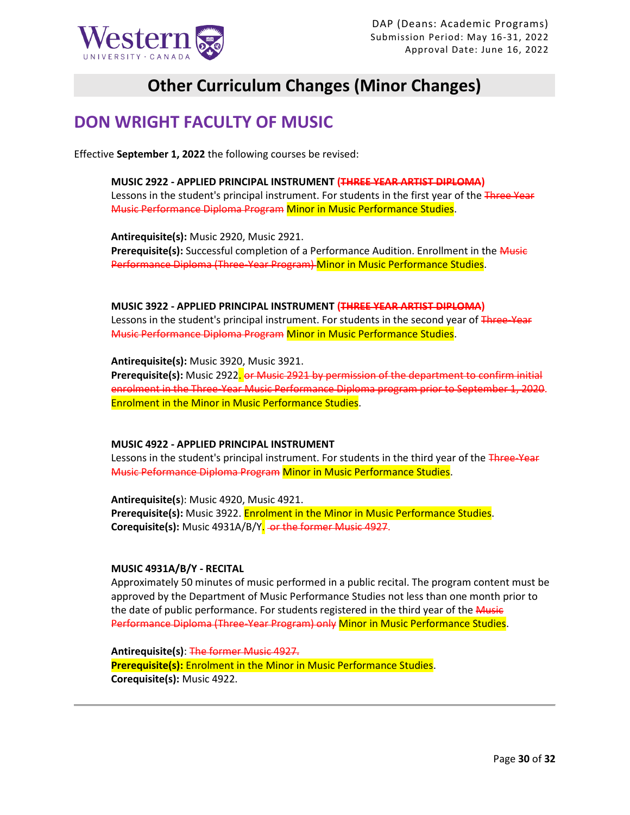

# **Other Curriculum Changes (Minor Changes)**

## **DON WRIGHT FACULTY OF MUSIC**

Effective **September 1, 2022** the following courses be revised:

**MUSIC 2922 - APPLIED PRINCIPAL INSTRUMENT (THREE YEAR ARTIST DIPLOMA)** Lessons in the student's principal instrument. For students in the first year of the Three Year Music Performance Diploma Program Minor in Music Performance Studies.

**Antirequisite(s):** Music 2920, Music 2921. Prerequisite(s): Successful completion of a Performance Audition. Enrollment in the Music Performance Diploma (Three-Year Program) Minor in Music Performance Studies.

**MUSIC 3922 - APPLIED PRINCIPAL INSTRUMENT (THREE YEAR ARTIST DIPLOMA)** Lessons in the student's principal instrument. For students in the second year of Three-Year Music Performance Diploma Program Minor in Music Performance Studies.

**Antirequisite(s):** Music 3920, Music 3921. **Prerequisite(s):** Music 2922. or Music 2921 by permission of the department to confirm initial enrolment in the Three-Year Music Performance Diploma program prior to September 1, 2020. Enrolment in the Minor in Music Performance Studies.

**MUSIC 4922 - APPLIED PRINCIPAL INSTRUMENT**

Lessons in the student's principal instrument. For students in the third year of the Three-Year Music Peformance Diploma Program Minor in Music Performance Studies.

**Antirequisite(s**): Music 4920, Music 4921. **Prerequisite(s):** Music 3922. Enrolment in the Minor in Music Performance Studies. **Corequisite(s):** Music 4931A/B/Y. or the former Music 4927.

### **MUSIC 4931A/B/Y - RECITAL**

Approximately 50 minutes of music performed in a public recital. The program content must be approved by the Department of Music Performance Studies not less than one month prior to the date of public performance. For students registered in the third year of the Music Performance Diploma (Three-Year Program) only Minor in Music Performance Studies.

**Antirequisite(s)**: The former Music 4927. **Prerequisite(s):** Enrolment in the Minor in Music Performance Studies. **Corequisite(s):** Music 4922.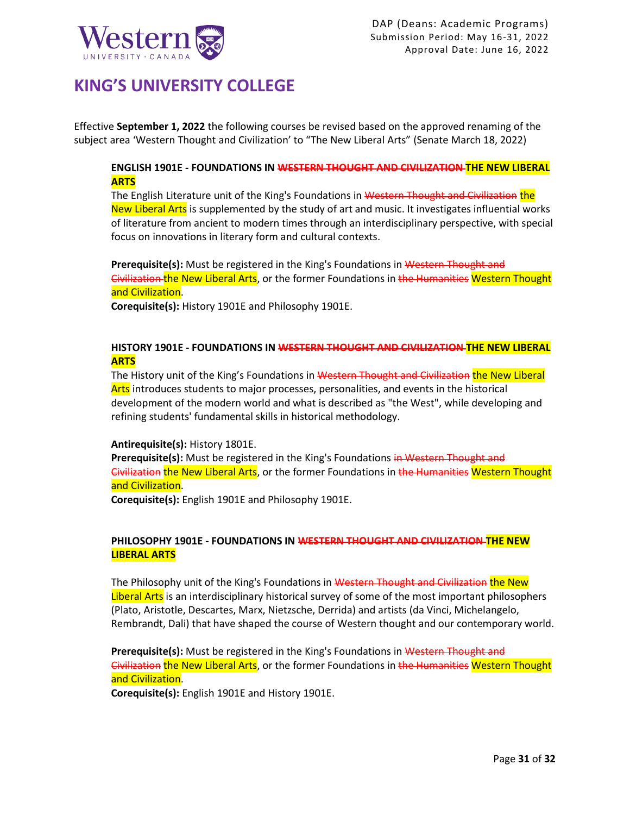

## **KING'S UNIVERSITY COLLEGE**

Effective **September 1, 2022** the following courses be revised based on the approved renaming of the subject area 'Western Thought and Civilization' to "The New Liberal Arts" (Senate March 18, 2022)

## **ENGLISH 1901E - FOUNDATIONS IN WESTERN THOUGHT AND CIVILIZATION THE NEW LIBERAL ARTS**

The English Literature unit of the King's Foundations in Western Thought and Civilization the New Liberal Arts is supplemented by the study of art and music. It investigates influential works of literature from ancient to modern times through an interdisciplinary perspective, with special focus on innovations in literary form and cultural contexts.

**Prerequisite(s):** Must be registered in the King's Foundations in Western Thought and Civilization the New Liberal Arts, or the former Foundations in the Humanities Western Thought and Civilization.

**Corequisite(s):** [History 1901E](https://www.westerncalendar.uwo.ca/Courses.cfm?CourseAcadCalendarID=KINGS_023750_1&SelectedCalendar=Live&ArchiveID=) and [Philosophy 1901E.](https://www.westerncalendar.uwo.ca/Courses.cfm?CourseAcadCalendarID=KINGS_023752_1&SelectedCalendar=Live&ArchiveID=)

### **HISTORY 1901E - FOUNDATIONS IN WESTERN THOUGHT AND CIVILIZATION THE NEW LIBERAL ARTS**

The History unit of the King's Foundations in Western Thought and Civilization the New Liberal Arts introduces students to major processes, personalities, and events in the historical development of the modern world and what is described as "the West", while developing and refining students' fundamental skills in historical methodology.

### **Antirequisite(s):** [History 1801E.](https://www.westerncalendar.uwo.ca/Courses.cfm?CourseAcadCalendarID=KINGS_008501_2&SelectedCalendar=Live&ArchiveID=)

Prerequisite(s): Must be registered in the King's Foundations in Western Thought and Givilization the New Liberal Arts, or the former Foundations in the Humanities Western Thought and Civilization.

**Corequisite(s):** [English 1901E](https://www.westerncalendar.uwo.ca/Courses.cfm?CourseAcadCalendarID=KINGS_023751_1&SelectedCalendar=Live&ArchiveID=) and [Philosophy 1901E.](https://www.westerncalendar.uwo.ca/Courses.cfm?CourseAcadCalendarID=KINGS_023752_1&SelectedCalendar=Live&ArchiveID=)

## **PHILOSOPHY 1901E - FOUNDATIONS IN WESTERN THOUGHT AND CIVILIZATION THE NEW LIBERAL ARTS**

The Philosophy unit of the King's Foundations in Western Thought and Civilization the New Liberal Arts is an interdisciplinary historical survey of some of the most important philosophers (Plato, Aristotle, Descartes, Marx, Nietzsche, Derrida) and artists (da Vinci, Michelangelo, Rembrandt, Dali) that have shaped the course of Western thought and our contemporary world.

**Prerequisite(s):** Must be registered in the King's Foundations in Western Thought and Civilization the New Liberal Arts, or the former Foundations in the Humanities Western Thought and Civilization.

**Corequisite(s):** [English 1901E](https://www.westerncalendar.uwo.ca/Courses.cfm?CourseAcadCalendarID=KINGS_023751_1&SelectedCalendar=Live&ArchiveID=) and [History 1901E.](https://www.westerncalendar.uwo.ca/Courses.cfm?CourseAcadCalendarID=KINGS_023750_1&SelectedCalendar=Live&ArchiveID=)